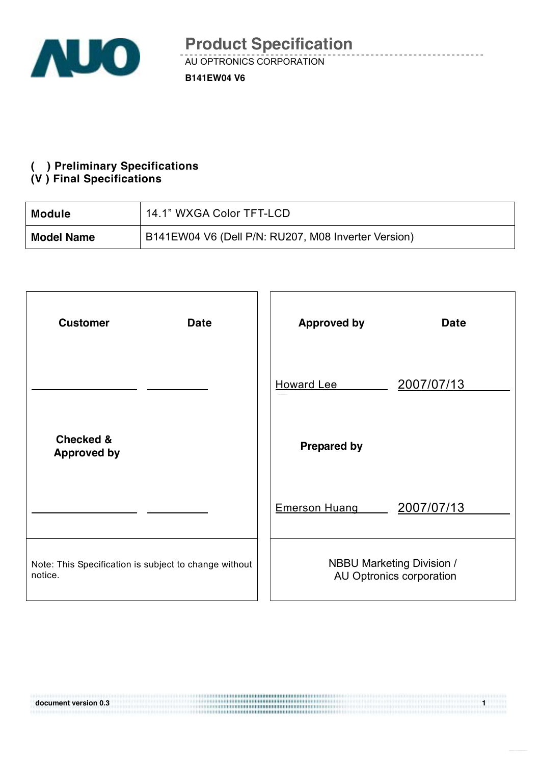

#### **( ) Preliminary Specifications**

#### **(V ) Final Specifications**

| <b>Module</b>     | 14.1" WXGA Color TFT-LCD                            |
|-------------------|-----------------------------------------------------|
| <b>Model Name</b> | B141EW04 V6 (Dell P/N: RU207, M08 Inverter Version) |

| <b>Customer</b><br><b>Date</b>                                   | <b>Approved by</b><br><b>Date</b>                            |
|------------------------------------------------------------------|--------------------------------------------------------------|
|                                                                  | 2007/07/13<br><b>Howard Lee</b>                              |
| <b>Checked &amp;</b><br><b>Approved by</b>                       | <b>Prepared by</b>                                           |
|                                                                  | 2007/07/13<br><b>Emerson Huang</b>                           |
| Note: This Specification is subject to change without<br>notice. | <b>NBBU Marketing Division /</b><br>AU Optronics corporation |

**document version 0.3 1**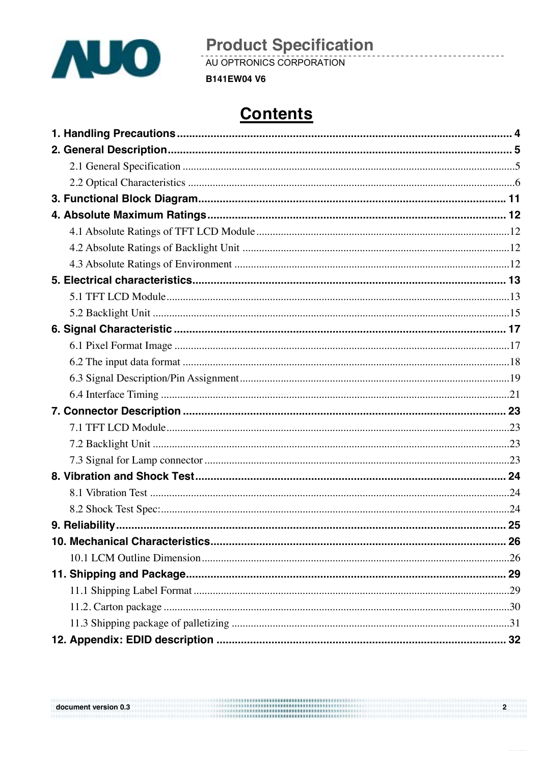

AU OPTRONICS CORPORATION

**B141EW04 V6** 

# **Contents**

 $\overline{\mathbf{2}}$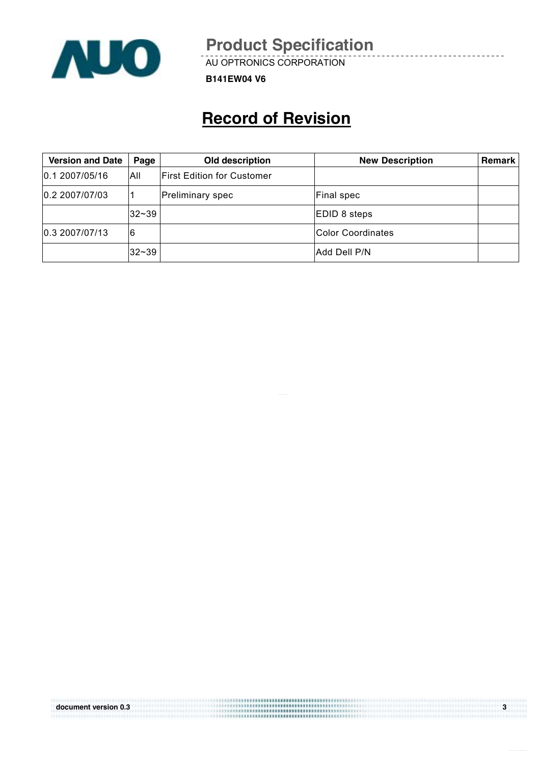

AU OPTRONICS CORPORATION

**B141EW04 V6**

# **Record of Revision**

| <b>Version and Date</b> | Page  | Old description            | <b>New Description</b> | <b>Remark</b> |
|-------------------------|-------|----------------------------|------------------------|---------------|
| 0.1 2007/05/16          | All   | First Edition for Customer |                        |               |
| 0.2 2007/07/03          |       | Preliminary spec           | <b>Final spec</b>      |               |
|                         | 32~39 |                            | EDID 8 steps           |               |
| 0.3 2007/07/13          | 6     |                            | Color Coordinates      |               |
|                         | 32~39 |                            | Add Dell P/N           |               |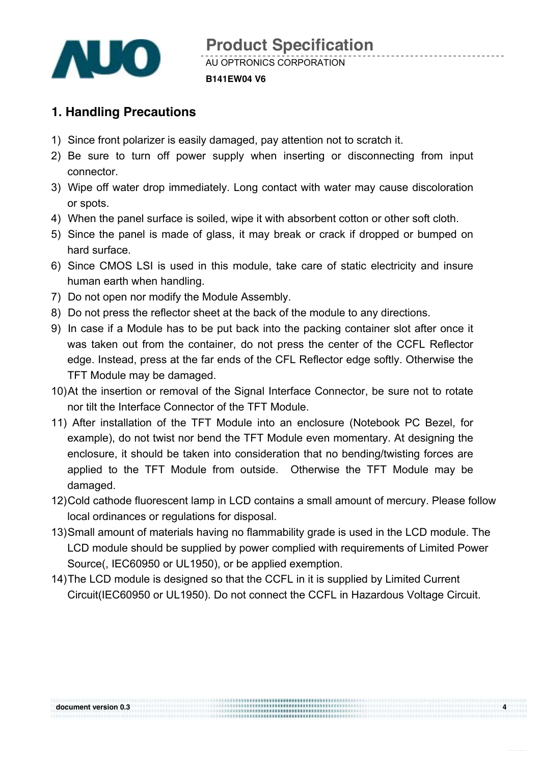

#### **B141EW04 V6**

## **1. Handling Precautions**

- 1) Since front polarizer is easily damaged, pay attention not to scratch it.
- 2) Be sure to turn off power supply when inserting or disconnecting from input connector.
- 3) Wipe off water drop immediately. Long contact with water may cause discoloration or spots.
- 4) When the panel surface is soiled, wipe it with absorbent cotton or other soft cloth.
- 5) Since the panel is made of glass, it may break or crack if dropped or bumped on hard surface.
- 6) Since CMOS LSI is used in this module, take care of static electricity and insure human earth when handling.
- 7) Do not open nor modify the Module Assembly.
- 8) Do not press the reflector sheet at the back of the module to any directions.
- 9) In case if a Module has to be put back into the packing container slot after once it was taken out from the container, do not press the center of the CCFL Reflector edge. Instead, press at the far ends of the CFL Reflector edge softly. Otherwise the TFT Module may be damaged.
- 10) At the insertion or removal of the Signal Interface Connector, be sure not to rotate nor tilt the Interface Connector of the TFT Module.
- 11) After installation of the TFT Module into an enclosure (Notebook PC Bezel, for example), do not twist nor bend the TFT Module even momentary. At designing the enclosure, it should be taken into consideration that no bending/twisting forces are applied to the TFT Module from outside. Otherwise the TFT Module may be damaged.
- 12) Cold cathode fluorescent lamp in LCD contains a small amount of mercury. Please follow local ordinances or regulations for disposal.
- 13) Small amount of materials having no flammability grade is used in the LCD module. The LCD module should be supplied by power complied with requirements of Limited Power Source(, IEC60950 or UL1950), or be applied exemption.
- 14) The LCD module is designed so that the CCFL in it is supplied by Limited Current Circuit(IEC60950 or UL1950). Do not connect the CCFL in Hazardous Voltage Circuit.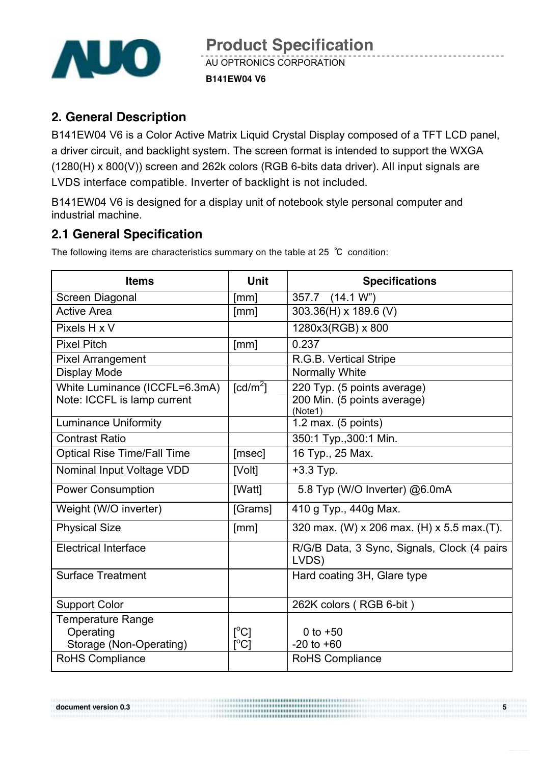

## **2. General Description**

B141EW04 V6 is a Color Active Matrix Liquid Crystal Display composed of a TFT LCD panel, a driver circuit, and backlight system. The screen format is intended to support the WXGA (1280(H) x 800(V)) screen and 262k colors (RGB 6-bits data driver). All input signals are LVDS interface compatible. Inverter of backlight is not included.

B141EW04 V6 is designed for a display unit of notebook style personal computer and industrial machine.

## **2.1 General Specification**

The following items are characteristics summary on the table at 25 ℃ condition:

| <b>Items</b>                                                     | <b>Unit</b>                                            | <b>Specifications</b>                                                 |
|------------------------------------------------------------------|--------------------------------------------------------|-----------------------------------------------------------------------|
| Screen Diagonal                                                  | [mm]                                                   | 357.7 (14.1 W")                                                       |
| <b>Active Area</b>                                               | [mm]                                                   | 303.36(H) x 189.6 (V)                                                 |
| Pixels H x V                                                     |                                                        | 1280x3(RGB) x 800                                                     |
| <b>Pixel Pitch</b>                                               | [mm]                                                   | 0.237                                                                 |
| <b>Pixel Arrangement</b>                                         |                                                        | R.G.B. Vertical Stripe                                                |
| <b>Display Mode</b>                                              |                                                        | Normally White                                                        |
| White Luminance (ICCFL=6.3mA)<br>Note: ICCFL is lamp current     | [ $cd/m2$ ]                                            | 220 Typ. (5 points average)<br>200 Min. (5 points average)<br>(Note1) |
| <b>Luminance Uniformity</b>                                      |                                                        | $1.2$ max. (5 points)                                                 |
| <b>Contrast Ratio</b>                                            |                                                        | 350:1 Typ., 300:1 Min.                                                |
| <b>Optical Rise Time/Fall Time</b>                               | [msec]                                                 | 16 Typ., 25 Max.                                                      |
| Nominal Input Voltage VDD                                        | [Volt]                                                 | $+3.3$ Typ.                                                           |
| <b>Power Consumption</b>                                         | [Watt]                                                 | 5.8 Typ (W/O Inverter) @6.0mA                                         |
| Weight (W/O inverter)                                            | [Grams]                                                | 410 g Typ., 440g Max.                                                 |
| <b>Physical Size</b>                                             | [mm]                                                   | 320 max. (W) x 206 max. (H) x 5.5 max. (T).                           |
| <b>Electrical Interface</b>                                      |                                                        | R/G/B Data, 3 Sync, Signals, Clock (4 pairs<br>LVDS)                  |
| <b>Surface Treatment</b>                                         |                                                        | Hard coating 3H, Glare type                                           |
| <b>Support Color</b>                                             |                                                        | 262K colors (RGB 6-bit)                                               |
| <b>Temperature Range</b><br>Operating<br>Storage (Non-Operating) | $\lceil{^{\circ}C}\rceil$<br>$\lceil{^{\circ}C}\rceil$ | 0 to $+50$<br>$-20$ to $+60$                                          |
| <b>RoHS Compliance</b>                                           |                                                        | <b>RoHS Compliance</b>                                                |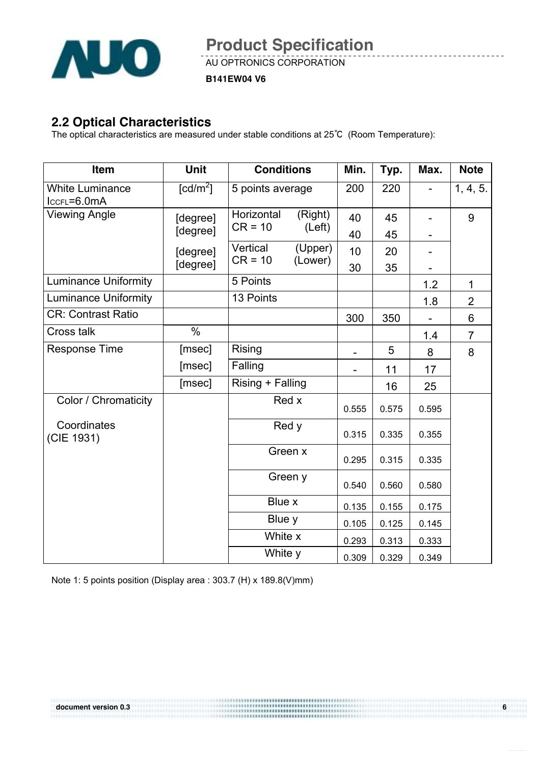

AU OPTRONICS CORPORATION

**B141EW04 V6**

### **2.2 Optical Characteristics**

The optical characteristics are measured under stable conditions at 25℃ (Room Temperature):

| Item                                  | <b>Unit</b>            | <b>Conditions</b>                            | Min.     | Typ.     | Max.  | <b>Note</b>    |
|---------------------------------------|------------------------|----------------------------------------------|----------|----------|-------|----------------|
| <b>White Luminance</b><br>IccFL=6.0mA | $\lceil cd/m^2 \rceil$ | 5 points average                             | 200      | 220      |       | 1, 4, 5.       |
| <b>Viewing Angle</b>                  | [degree]<br>[degree]   | Horizontal<br>(Right)<br>$CR = 10$<br>(Left) | 40<br>40 | 45<br>45 |       | 9              |
|                                       | [degree]               | Vertical<br>(Upper)<br>$CR = 10$<br>(Lower)  | 10       | 20       |       |                |
|                                       | [degree]               |                                              | 30       | 35       |       |                |
| <b>Luminance Uniformity</b>           |                        | 5 Points                                     |          |          | 1.2   | $\mathbf{1}$   |
| <b>Luminance Uniformity</b>           |                        | 13 Points                                    |          |          | 1.8   | $\overline{2}$ |
| <b>CR: Contrast Ratio</b>             |                        |                                              | 300      | 350      |       | 6              |
| <b>Cross talk</b>                     | $\frac{0}{0}$          |                                              |          |          | 1.4   | $\overline{7}$ |
| <b>Response Time</b>                  | [msec]                 | Rising                                       |          | 5        | 8     | 8              |
|                                       | [msec]                 | Falling                                      |          | 11       | 17    |                |
|                                       | [msec]                 | Rising + Falling                             |          | 16       | 25    |                |
| Color / Chromaticity                  |                        | Red x                                        | 0.555    | 0.575    | 0.595 |                |
| Coordinates<br>(CIE 1931)             |                        | Red y                                        | 0.315    | 0.335    | 0.355 |                |
|                                       |                        | Green x                                      | 0.295    | 0.315    | 0.335 |                |
|                                       |                        | Green y                                      | 0.540    | 0.560    | 0.580 |                |
|                                       |                        | Blue x                                       | 0.135    | 0.155    | 0.175 |                |
|                                       |                        | Blue y                                       | 0.105    | 0.125    | 0.145 |                |
|                                       |                        | White x                                      | 0.293    | 0.313    | 0.333 |                |
|                                       |                        | White y                                      | 0.309    | 0.329    | 0.349 |                |

Note 1: 5 points position (Display area : 303.7 (H) x 189.8(V)mm)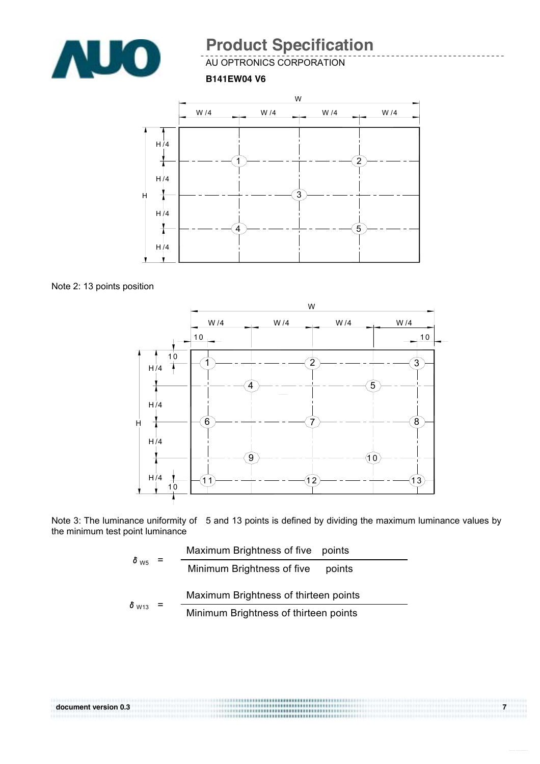

AU OPTRONICS CORPORATION

**B141EW04 V6**



Note 2: 13 points position



Note 3: The luminance uniformity of 5 and 13 points is defined by dividing the maximum luminance values by the minimum test point luminance

|                         | Maximum Brightness of five points |                                       |
|-------------------------|-----------------------------------|---------------------------------------|
| $\delta_{\text{W5}}$    |                                   | Minimum Brightness of five<br>points  |
|                         | $=$                               | Maximum Brightness of thirteen points |
| $\delta$ <sub>W13</sub> |                                   | Minimum Brightness of thirteen points |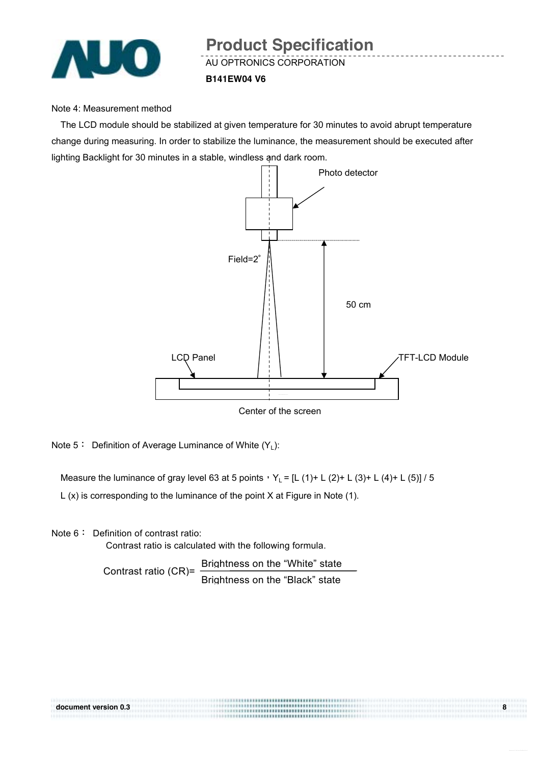

#### Note 4: Measurement method

The LCD module should be stabilized at given temperature for 30 minutes to avoid abrupt temperature change during measuring. In order to stabilize the luminance, the measurement should be executed after lighting Backlight for 30 minutes in a stable, windless and dark room.



Center of the screen

Note  $5:$  Definition of Average Luminance of White  $(Y_1)$ :

Measure the luminance of gray level 63 at 5 points,  $Y_L = [L (1) + L (2) + L (3) + L (4) + L (5)]$  / 5

L (x) is corresponding to the luminance of the point X at Figure in Note (1).

Note 6: Definition of contrast ratio:

Contrast ratio is calculated with the following formula.

Contrast ratio (CR)= Brightness on the "White" state Brightness on the "Black" state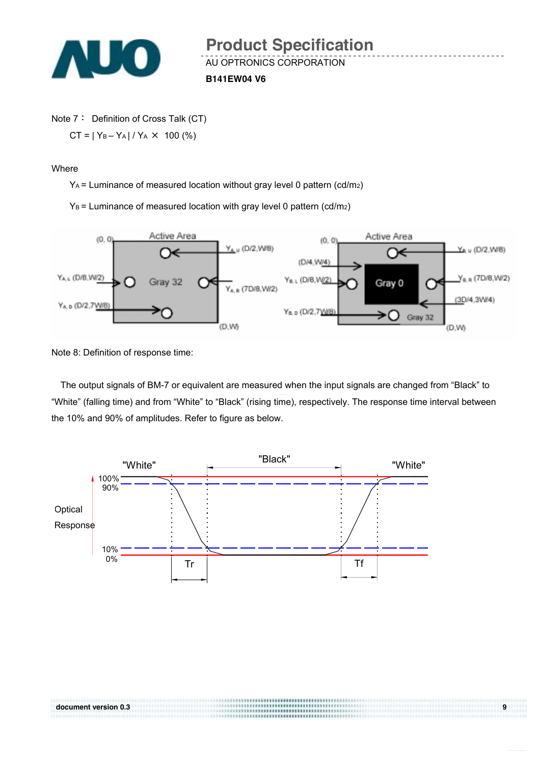

**B141EW04 V6**

Note 7: Definition of Cross Talk (CT)  $CT = |Y_B - Y_A| / Y_A \times 100$  (%)

Where

YA = Luminance of measured location without gray level 0 pattern (cd/m2)

 $Y_B$  = Luminance of measured location with gray level 0 pattern (cd/m<sub>2</sub>)



Note 8: Definition of response time:

The output signals of BM-7 or equivalent are measured when the input signals are changed from "Black" to "White" (falling time) and from "White" to "Black" (rising time), respectively. The response time interval between the 10% and 90% of amplitudes. Refer to figure as below.

,,,,,,,,,,,,,,,,,,,,,,,,,,,,,

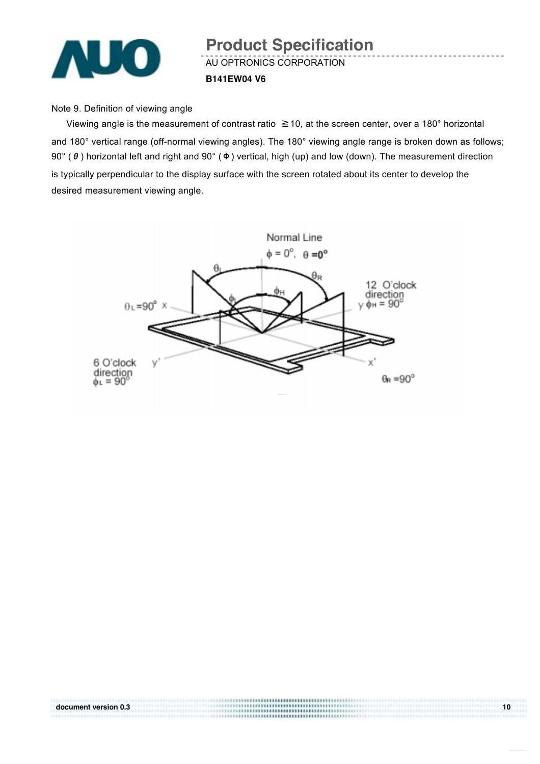

## AU OPTRONICS CORPORATION **B141EW04 V6 Product Specification**

#### Note 9. Definition of viewing angle

Viewing angle is the measurement of contrast ratio ≧10, at the screen center, over a 180° horizontal and 180° vertical range (off-normal viewing angles). The 180° viewing angle range is broken down as follows; 90° (θ) horizontal left and right and 90° (Φ) vertical, high (up) and low (down). The measurement direction is typically perpendicular to the display surface with the screen rotated about its center to develop the desired measurement viewing angle.

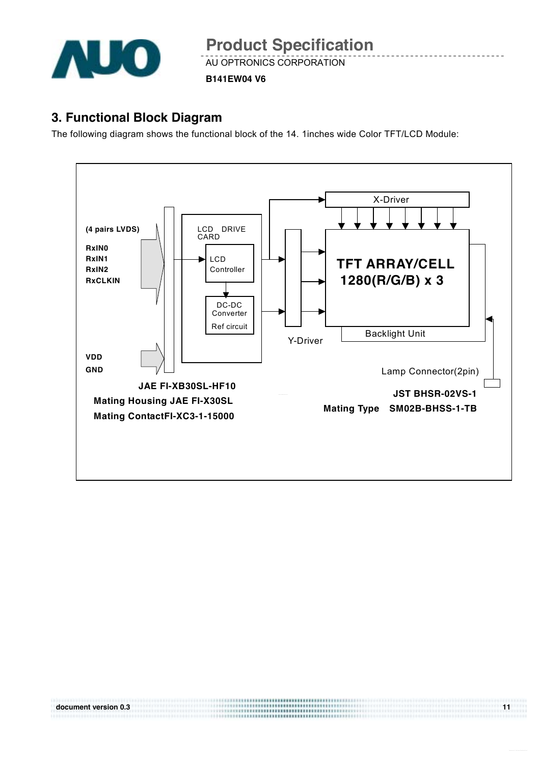

AU OPTRONICS CORPORATION

**B141EW04 V6**

### **3. Functional Block Diagram**

The following diagram shows the functional block of the 14. 1inches wide Color TFT/LCD Module:

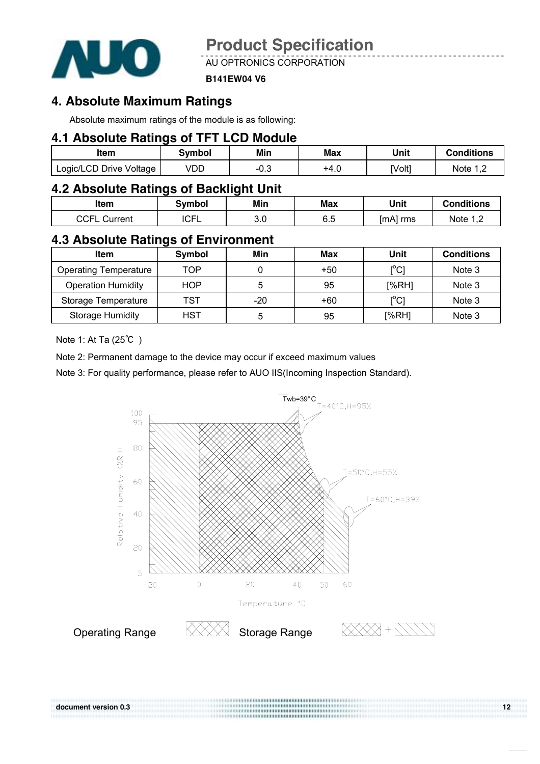

AU OPTRONICS CORPORATION

#### **B141EW04 V6**

### **4. Absolute Maximum Ratings**

Absolute maximum ratings of the module is as following:

### **4.1 Absolute Ratings of TFT LCD Module**

| Item                    | Svmbol | Min  | Max  | Unit   | <b>Conditions</b> |
|-------------------------|--------|------|------|--------|-------------------|
| Logic/LCD Drive Voltage | VDD    | −∪.∪ | +4.∪ | [Volt] | Note              |

### **4.2 Absolute Ratings of Backlight Unit**

| ltem                 | Svmbol    | Min        | <b>Max</b>     | Unit       | <b>Conditions</b> |
|----------------------|-----------|------------|----------------|------------|-------------------|
| ∩∩⊏<br>Current<br>ات | ∩⊏<br>◡┌∟ | ח מ<br>v.v | cε<br>∽<br>∪.∪ | $[mA]$ rms | Note<br>ے, ا      |

### **4.3 Absolute Ratings of Environment**

| Item                         | Symbol     | Min | Max   | Unit                                    | <b>Conditions</b> |
|------------------------------|------------|-----|-------|-----------------------------------------|-------------------|
| <b>Operating Temperature</b> | TOP        |     | $+50$ | $\mathsf{I}^\circ\mathsf{C}$            | Note 3            |
| <b>Operation Humidity</b>    | <b>HOP</b> | 5   | 95    | [%RH]                                   | Note 3            |
| Storage Temperature          | TST        | -20 | +60   | $\mathsf{I}^\circ\mathsf{C} \mathsf{I}$ | Note 3            |
| <b>Storage Humidity</b>      | <b>HST</b> | 5   | 95    | [%RH]                                   | Note 3            |

Note 1: At Ta (25℃ )

Note 2: Permanent damage to the device may occur if exceed maximum values

Note 3: For quality performance, please refer to AUO IIS(Incoming Inspection Standard).



**document version 0.3** 12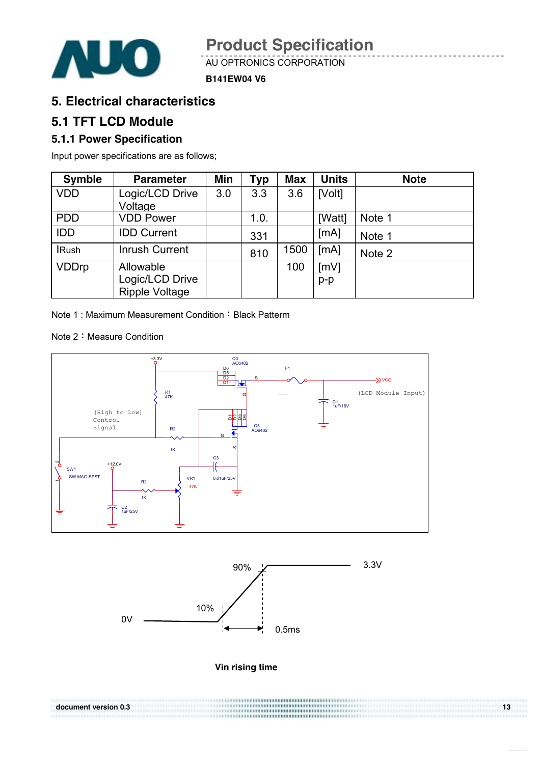

AU OPTRONICS CORPORATION

#### **B141EW04 V6**

### **5. Electrical characteristics**

### **5.1 TFT LCD Module**

#### **5.1.1 Power Specification**

Input power specifications are as follows;

| <b>Symble</b> | <b>Parameter</b>      | Min | Typ  | <b>Max</b> | <b>Units</b> | <b>Note</b> |
|---------------|-----------------------|-----|------|------------|--------------|-------------|
| <b>VDD</b>    | Logic/LCD Drive       | 3.0 | 3.3  | 3.6        | [Volt]       |             |
|               | Voltage               |     |      |            |              |             |
| <b>PDD</b>    | <b>VDD Power</b>      |     | 1.0. |            | [Watt]       | Note 1      |
| <b>IDD</b>    | <b>IDD Current</b>    |     | 331  |            | [mA]         | Note 1      |
| <b>IRush</b>  | <b>Inrush Current</b> |     | 810  | 1500       | [MA]         | Note 2      |
| <b>VDDrp</b>  | Allowable             |     |      | 100        | [mV]         |             |
|               | Logic/LCD Drive       |     |      |            | $p-p$        |             |
|               | <b>Ripple Voltage</b> |     |      |            |              |             |

Note 1: Maximum Measurement Condition: Black Patterm

Note 2: Measure Condition





**Vin rising time**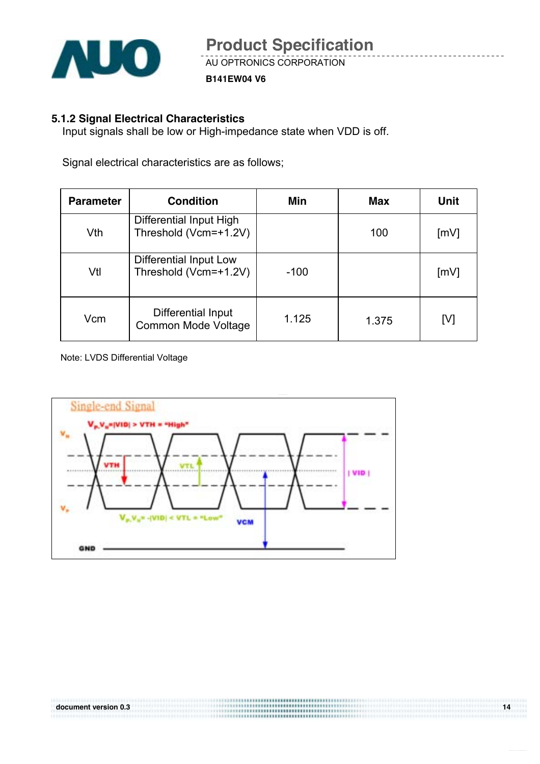

**B141EW04 V6**

#### **5.1.2 Signal Electrical Characteristics**

Input signals shall be low or High-impedance state when VDD is off.

Signal electrical characteristics are as follows;

| <b>Parameter</b> | <b>Condition</b>                                 | Min    | <b>Max</b> | Unit               |
|------------------|--------------------------------------------------|--------|------------|--------------------|
| Vth              | Differential Input High<br>Threshold (Vcm=+1.2V) |        | 100        | $\lceil mV \rceil$ |
| Vtl              | Differential Input Low<br>Threshold (Vcm=+1.2V)  | $-100$ |            | $\lceil mV \rceil$ |
| Vcm              | Differential Input<br><b>Common Mode Voltage</b> | 1.125  | 1.375      | [V]                |

Note: LVDS Differential Voltage

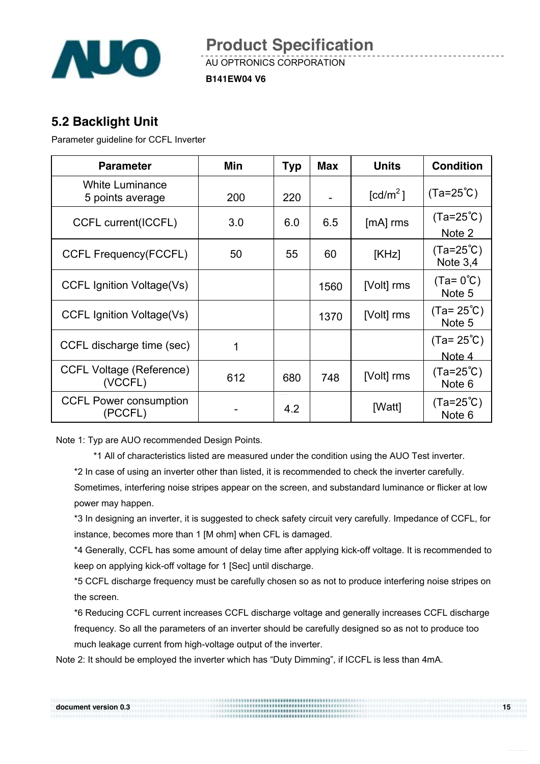

AU OPTRONICS CORPORATION

**B141EW04 V6**

## **5.2 Backlight Unit**

Parameter guideline for CCFL Inverter

| <b>Parameter</b>                           | Min | <b>Typ</b> | <b>Max</b> | <b>Units</b>           | <b>Condition</b>                        |
|--------------------------------------------|-----|------------|------------|------------------------|-----------------------------------------|
| <b>White Luminance</b><br>5 points average | 200 | 220        |            | $\lceil cd/m^2 \rceil$ | $(Ta=25^{\circ}C)$                      |
| <b>CCFL current(ICCFL)</b>                 | 3.0 | 6.0        | 6.5        | $[mA]$ rms             | $(Ta=25^{\circ}C)$<br>Note 2            |
| <b>CCFL Frequency(FCCFL)</b>               | 50  | 55         | 60         | [KHz]                  | $(Ta=25^{\circ}C)$<br>Note $3,4$        |
| CCFL Ignition Voltage(Vs)                  |     |            | 1560       | [Volt] rms             | $(Ta=0^{\circ}C)$<br>Note 5             |
| CCFL Ignition Voltage(Vs)                  |     |            | 1370       | [Volt] rms             | $(Ta = 25^{\circ}C)$<br>Note 5          |
| CCFL discharge time (sec)                  |     |            |            |                        | $(Ta = 25^{\circ}C)$<br>Note 4          |
| <b>CCFL Voltage (Reference)</b><br>(VCCFL) | 612 | 680        | 748        | [Volt] rms             | $(Ta=25^{\circ}C)$<br>Note <sub>6</sub> |
| <b>CCFL Power consumption</b><br>(PCCFL)   |     | 4.2        |            | [Watt]                 | $(Ta=25^{\circ}C)$<br>Note <sub>6</sub> |

Note 1: Typ are AUO recommended Design Points.

\*1 All of characteristics listed are measured under the condition using the AUO Test inverter.

\*2 In case of using an inverter other than listed, it is recommended to check the inverter carefully.

Sometimes, interfering noise stripes appear on the screen, and substandard luminance or flicker at low power may happen.

\*3 In designing an inverter, it is suggested to check safety circuit very carefully. Impedance of CCFL, for instance, becomes more than 1 [M ohm] when CFL is damaged.

\*4 Generally, CCFL has some amount of delay time after applying kick-off voltage. It is recommended to keep on applying kick-off voltage for 1 [Sec] until discharge.

\*5 CCFL discharge frequency must be carefully chosen so as not to produce interfering noise stripes on the screen.

\*6 Reducing CCFL current increases CCFL discharge voltage and generally increases CCFL discharge frequency. So all the parameters of an inverter should be carefully designed so as not to produce too much leakage current from high-voltage output of the inverter.

Note 2: It should be employed the inverter which has "Duty Dimming", if ICCFL is less than 4mA.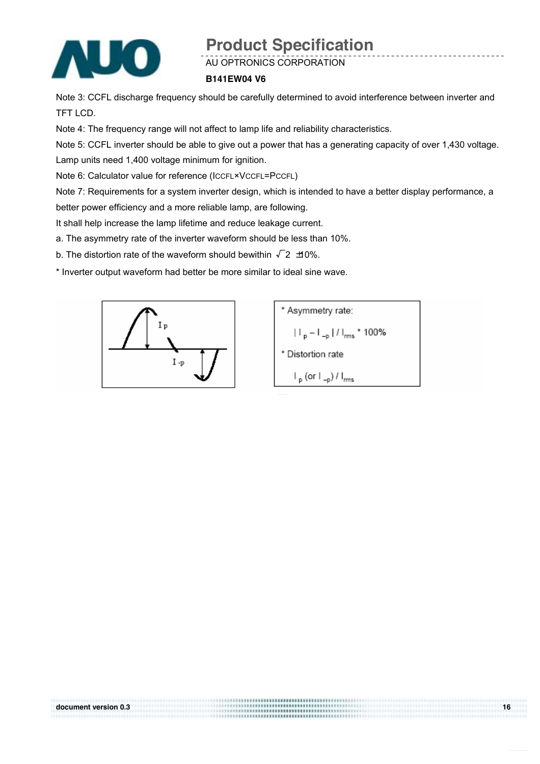

AU OPTRONICS CORPORATION

#### **B141EW04 V6**

Note 3: CCFL discharge frequency should be carefully determined to avoid interference between inverter and TFT LCD.

Note 4: The frequency range will not affect to lamp life and reliability characteristics.

Note 5: CCFL inverter should be able to give out a power that has a generating capacity of over 1,430 voltage. Lamp units need 1,400 voltage minimum for ignition.

Note 6: Calculator value for reference (ICCFL×VCCFL=PCCFL)

Note 7: Requirements for a system inverter design, which is intended to have a better display performance, a better power efficiency and a more reliable lamp, are following.

..............................

It shall help increase the lamp lifetime and reduce leakage current.

a. The asymmetry rate of the inverter waveform should be less than 10%.

b. The distortion rate of the waveform should bewithin  $\sqrt{2}$   $\pm$  0%.

\* Inverter output waveform had better be more similar to ideal sine wave.





**document version 0.3 16 16**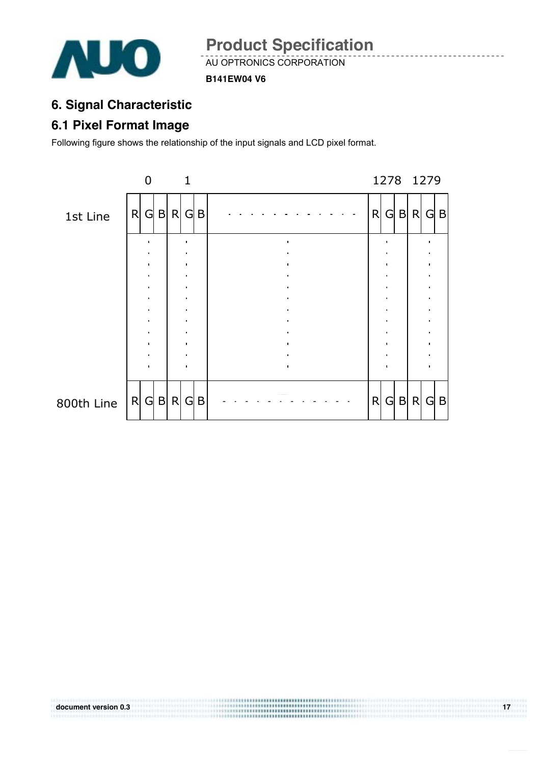

AU OPTRONICS CORPORATION

**B141EW04 V6**

## **6. Signal Characteristic**

## **6.1 Pixel Format Image**

Following figure shows the relationship of the input signals and LCD pixel format.

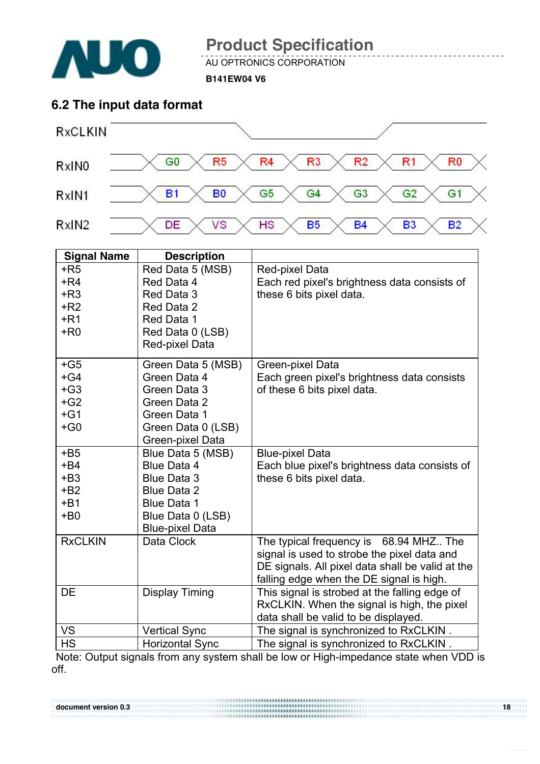

AU OPTRONICS CORPORATION

**B141EW04 V6**

## **6.2 The input data format**



| <b>Signal Name</b> | <b>Description</b>     |                                                  |
|--------------------|------------------------|--------------------------------------------------|
| $+R5$              | Red Data 5 (MSB)       | Red-pixel Data                                   |
| $+R4$              | Red Data 4             | Each red pixel's brightness data consists of     |
| $+R3$              | Red Data 3             | these 6 bits pixel data.                         |
| $+R2$              | Red Data 2             |                                                  |
| $+R1$              | Red Data 1             |                                                  |
| $+$ R <sub>0</sub> | Red Data 0 (LSB)       |                                                  |
|                    | Red-pixel Data         |                                                  |
| $+G5$              | Green Data 5 (MSB)     | Green-pixel Data                                 |
| $+G4$              | Green Data 4           | Each green pixel's brightness data consists      |
| $+G3$              | Green Data 3           | of these 6 bits pixel data.                      |
| $+G2$              | Green Data 2           |                                                  |
| $+G1$              | Green Data 1           |                                                  |
| $+G0$              | Green Data 0 (LSB)     |                                                  |
|                    | Green-pixel Data       |                                                  |
| $+B5$              | Blue Data 5 (MSB)      | <b>Blue-pixel Data</b>                           |
| $+B4$              | <b>Blue Data 4</b>     | Each blue pixel's brightness data consists of    |
| $+B3$              | <b>Blue Data 3</b>     | these 6 bits pixel data.                         |
| $+ B2$             | <b>Blue Data 2</b>     |                                                  |
| $+B1$              | <b>Blue Data 1</b>     |                                                  |
| $+B0$              | Blue Data 0 (LSB)      |                                                  |
|                    | <b>Blue-pixel Data</b> |                                                  |
| <b>RxCLKIN</b>     | Data Clock             | The typical frequency is 68.94 MHZ The           |
|                    |                        | signal is used to strobe the pixel data and      |
|                    |                        | DE signals. All pixel data shall be valid at the |
|                    |                        | falling edge when the DE signal is high.         |
| <b>DE</b>          | <b>Display Timing</b>  | This signal is strobed at the falling edge of    |
|                    |                        | RxCLKIN. When the signal is high, the pixel      |
|                    |                        | data shall be valid to be displayed.             |
| <b>VS</b>          | <b>Vertical Sync</b>   | The signal is synchronized to RxCLKIN.           |
| <b>HS</b>          | <b>Horizontal Sync</b> | The signal is synchronized to RxCLKIN.           |

Note: Output signals from any system shall be low or High-impedance state when VDD is off.

**document version 0.3** 18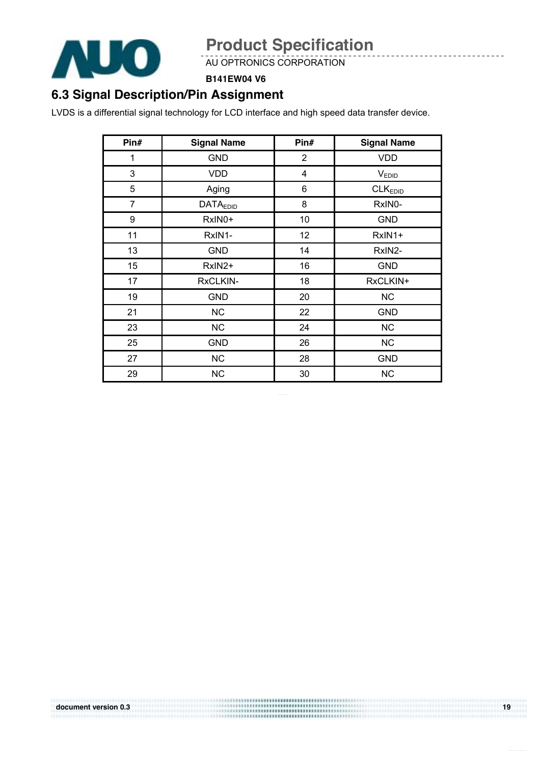

AU OPTRONICS CORPORATION

#### **B141EW04 V6**

## **6.3 Signal Description/Pin Assignment**

LVDS is a differential signal technology for LCD interface and high speed data transfer device.

| Pin#           | <b>Signal Name</b> | Pin#           | <b>Signal Name</b>  |
|----------------|--------------------|----------------|---------------------|
| 1              | <b>GND</b>         | $\overline{2}$ | VDD                 |
| 3              | <b>VDD</b>         | $\overline{4}$ | V <sub>EDID</sub>   |
| 5              | Aging              | 6              | CLK <sub>EDID</sub> |
| $\overline{7}$ | <b>DATAEDID</b>    | 8              | RxIN0-              |
| 9              | RxIN0+             | 10             | <b>GND</b>          |
| 11             | RxIN1-             | 12             | RxIN1+              |
| 13             | <b>GND</b>         | 14             | RxIN2-              |
| 15             | RxIN2+             | 16             | <b>GND</b>          |
| 17             | RxCLKIN-           | 18             | RxCLKIN+            |
| 19             | <b>GND</b>         | 20             | <b>NC</b>           |
| 21             | <b>NC</b>          | 22             | <b>GND</b>          |
| 23             | NC                 | 24             | NC                  |
| 25             | <b>GND</b>         | 26             | <b>NC</b>           |
| 27             | <b>NC</b>          | 28             | <b>GND</b>          |
| 29             | <b>NC</b>          | 30             | <b>NC</b>           |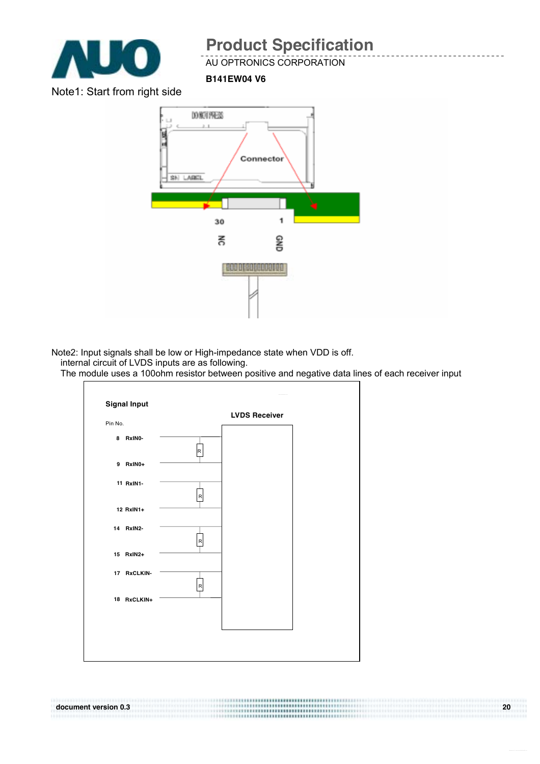

AU OPTRONICS CORPORATION

**B141EW04 V6**

Note1: Start from right side



Note2: Input signals shall be low or High-impedance state when VDD is off. internal circuit of LVDS inputs are as following.

The module uses a 100ohm resistor between positive and negative data lines of each receiver input

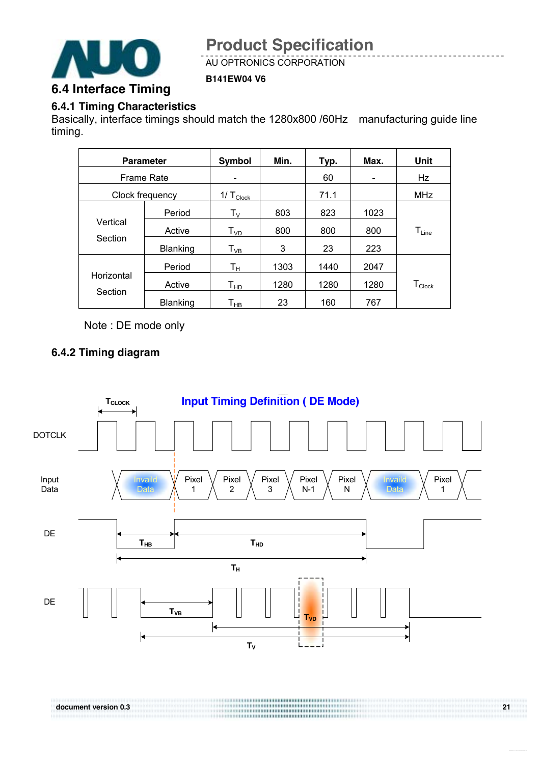

AU OPTRONICS CORPORATION

#### **6.4 Interface Timing**

#### **6.4.1 Timing Characteristics**

Basically, interface timings should match the 1280x800 /60Hz manufacturing guide line timing.

**B141EW04 V6**

| <b>Parameter</b>    |          | Symbol                     | Min. | Typ. | Max. | Unit                           |  |
|---------------------|----------|----------------------------|------|------|------|--------------------------------|--|
| <b>Frame Rate</b>   |          |                            |      | 60   |      | Hz                             |  |
| Clock frequency     |          | 1/ $T_{\text{Clock}}$      |      | 71.1 |      | <b>MHz</b>                     |  |
| Vertical<br>Section | Period   | $\mathsf{T}_\mathsf{V}$    | 803  | 823  | 1023 |                                |  |
|                     | Active   | T <sub>VD</sub>            | 800  | 800  | 800  | $\mathsf{T}_{\mathsf{Line}}$   |  |
|                     | Blanking | $T_{VB}$                   | 3    | 23   | 223  |                                |  |
|                     | Period   | Tн                         | 1303 | 1440 | 2047 |                                |  |
| Horizontal          | Active   | $T_{HD}$                   | 1280 | 1280 | 1280 | ${\mathsf T}_{\mathsf{Clock}}$ |  |
| Section             | Blanking | $\mathsf{T}_{\mathsf{HB}}$ | 23   | 160  | 767  |                                |  |

Note : DE mode only

#### **6.4.2 Timing diagram**

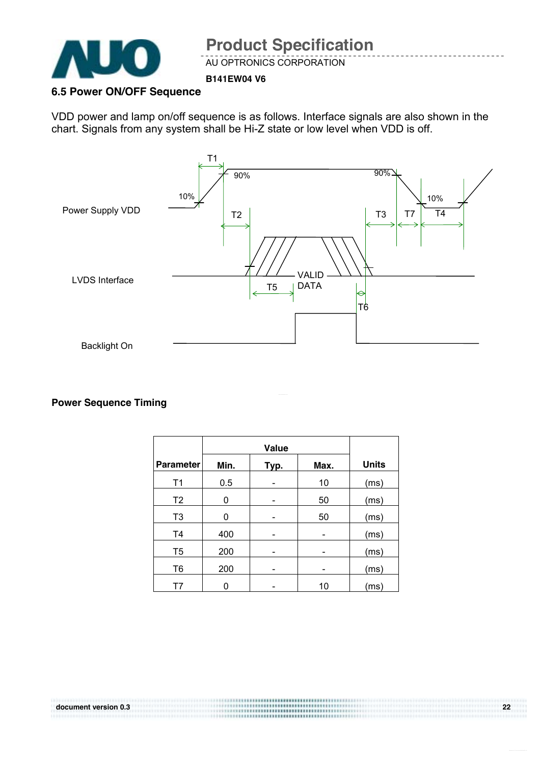

AU OPTRONICS CORPORATION

#### **B141EW04 V6**

#### **6.5 Power ON/OFF Sequence**

VDD power and lamp on/off sequence is as follows. Interface signals are also shown in the chart. Signals from any system shall be Hi-Z state or low level when VDD is off.



#### **Power Sequence Timing**

| <b>Parameter</b> | Min. | Typ. | Max. | <b>Units</b> |
|------------------|------|------|------|--------------|
| T1               | 0.5  |      | 10   | (ms)         |
| T <sub>2</sub>   | 0    |      | 50   | (ms)         |
| T <sub>3</sub>   | 0    |      | 50   | (ms)         |
| T <sub>4</sub>   | 400  |      |      | (ms)         |
| T <sub>5</sub>   | 200  |      |      | (ms)         |
| T <sub>6</sub>   | 200  |      |      | (ms)         |
| T7               | ი    |      | 10   | (ms)         |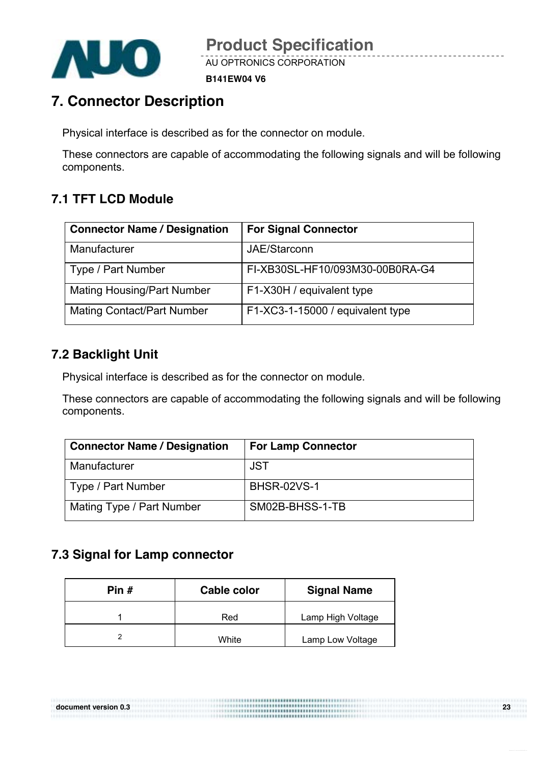

AU OPTRONICS CORPORATION

**B141EW04 V6**

## **7. Connector Description**

Physical interface is described as for the connector on module.

These connectors are capable of accommodating the following signals and will be following components.

## **7.1 TFT LCD Module**

| <b>Connector Name / Designation</b> | <b>For Signal Connector</b>      |
|-------------------------------------|----------------------------------|
| Manufacturer                        | JAE/Starconn                     |
| Type / Part Number                  | FI-XB30SL-HF10/093M30-00B0RA-G4  |
| <b>Mating Housing/Part Number</b>   | F1-X30H / equivalent type        |
| <b>Mating Contact/Part Number</b>   | F1-XC3-1-15000 / equivalent type |

## **7.2 Backlight Unit**

Physical interface is described as for the connector on module.

These connectors are capable of accommodating the following signals and will be following components.

| <b>Connector Name / Designation</b> | <b>For Lamp Connector</b> |
|-------------------------------------|---------------------------|
| Manufacturer                        | JST                       |
| Type / Part Number                  | <b>BHSR-02VS-1</b>        |
| Mating Type / Part Number           | SM02B-BHSS-1-TB           |

## **7.3 Signal for Lamp connector**

| Pin # | Cable color | <b>Signal Name</b> |
|-------|-------------|--------------------|
|       | Red         | Lamp High Voltage  |
|       | White       | Lamp Low Voltage   |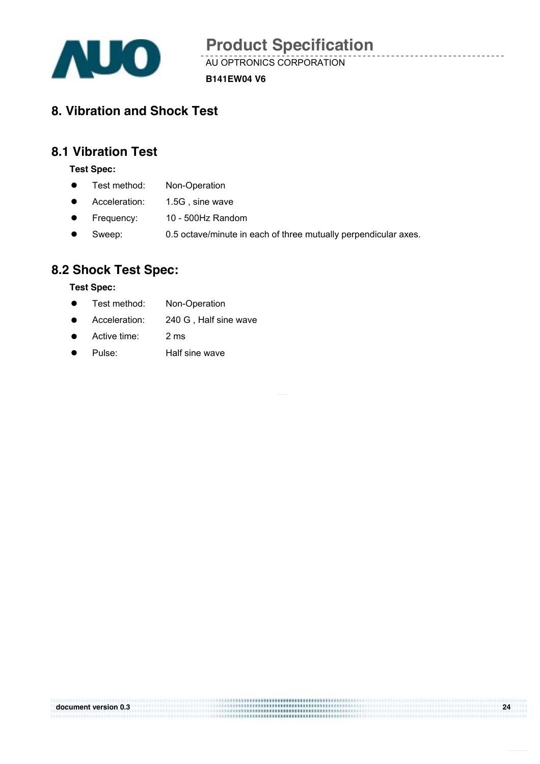

AU OPTRONICS CORPORATION

**B141EW04 V6**

## **8. Vibration and Shock Test**

## **8.1 Vibration Test**

**Test Spec:** 

- Test method: Non-Operation
- Acceleration: 1.5G, sine wave
- Frequency: 10 500Hz Random
- Sweep: 0.5 octave/minute in each of three mutually perpendicular axes.

### **8.2 Shock Test Spec:**

#### **Test Spec:**

- Test method: Non-Operation
- Acceleration: 240 G, Half sine wave
- Active time: 2 ms
- Pulse: Half sine wave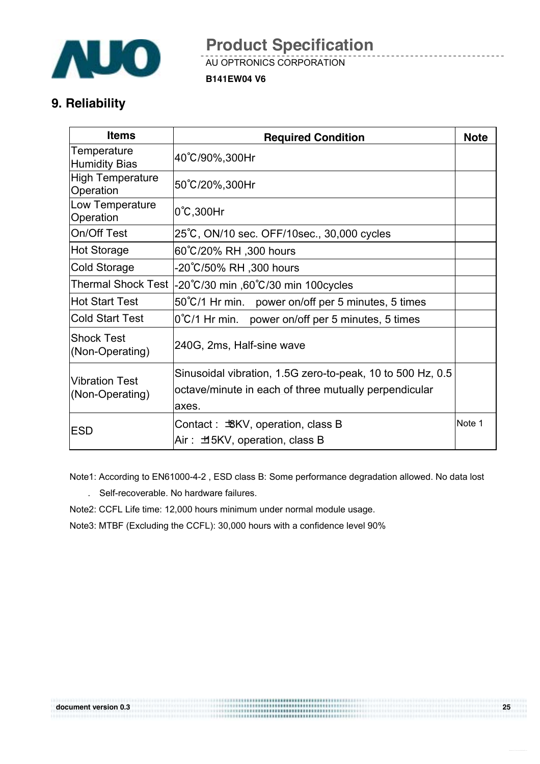

AU OPTRONICS CORPORATION

**B141EW04 V6**

## **9. Reliability**

| <b>Items</b>                         | <b>Required Condition</b>                                                                                                    | <b>Note</b> |
|--------------------------------------|------------------------------------------------------------------------------------------------------------------------------|-------------|
| Temperature<br><b>Humidity Bias</b>  | 40°C/90%,300Hr                                                                                                               |             |
| <b>High Temperature</b><br>Operation | 50°C/20%,300Hr                                                                                                               |             |
| Low Temperature<br>Operation         | $0^{\circ}$ C, 300Hr                                                                                                         |             |
| On/Off Test                          | 25°C, ON/10 sec. OFF/10sec., 30,000 cycles                                                                                   |             |
| Hot Storage                          | 60°C/20% RH ,300 hours                                                                                                       |             |
| <b>Cold Storage</b>                  | -20℃/50% RH ,300 hours                                                                                                       |             |
| <b>Thermal Shock Test</b>            | -20°C/30 min ,60°C/30 min 100 cycles                                                                                         |             |
| Hot Start Test                       | 50°C/1 Hr min. power on/off per 5 minutes, 5 times                                                                           |             |
| <b>Cold Start Test</b>               | 0°C/1 Hr min. power on/off per 5 minutes, 5 times                                                                            |             |
| <b>Shock Test</b><br>(Non-Operating) | 240G, 2ms, Half-sine wave                                                                                                    |             |
| Vibration Test<br>(Non-Operating)    | Sinusoidal vibration, 1.5G zero-to-peak, 10 to 500 Hz, 0.5<br>octave/minute in each of three mutually perpendicular<br>axes. |             |
| <b>ESD</b>                           | Contact: $\pm$ 8KV, operation, class B<br>Air: ±15KV, operation, class B                                                     | Note 1      |

Note1: According to EN61000-4-2 , ESD class B: Some performance degradation allowed. No data lost

- . Self-recoverable. No hardware failures.
- Note2: CCFL Life time: 12,000 hours minimum under normal module usage.
- Note3: MTBF (Excluding the CCFL): 30,000 hours with a confidence level 90%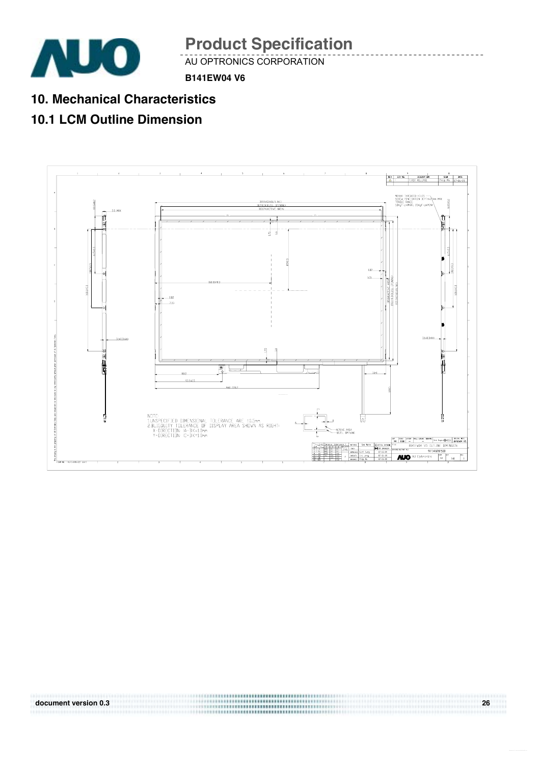

AU OPTRONICS CORPORATION

**B141EW04 V6**

**10. Mechanical Characteristics** 

## **10.1 LCM Outline Dimension**

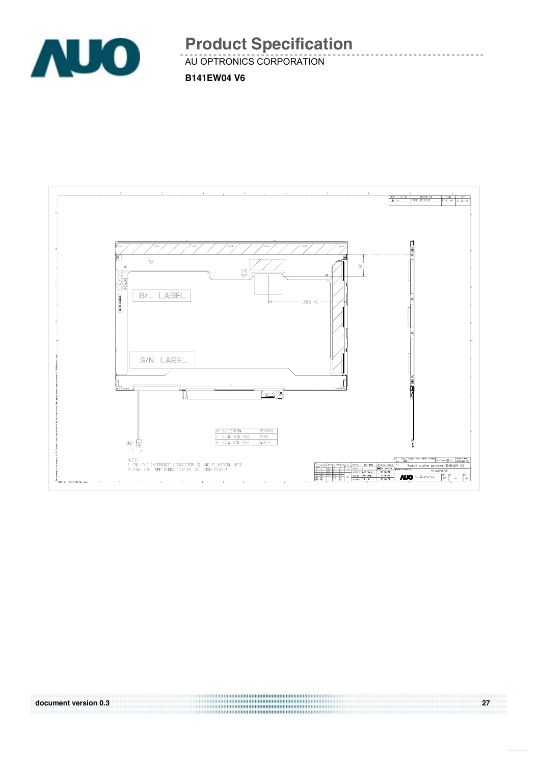

AU OPTRONICS CORPORATION

**B141EW04 V6**

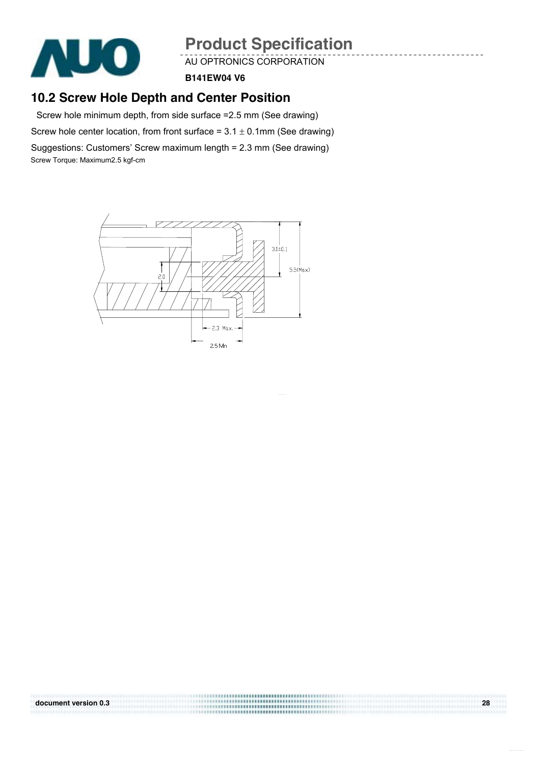

AU OPTRONICS CORPORATION

**B141EW04 V6**

## **10.2 Screw Hole Depth and Center Position**

Screw hole minimum depth, from side surface =2.5 mm (See drawing)

Screw hole center location, from front surface =  $3.1 \pm 0.1$ mm (See drawing)

Suggestions: Customers' Screw maximum length = 2.3 mm (See drawing) Screw Torque: Maximum2.5 kgf-cm

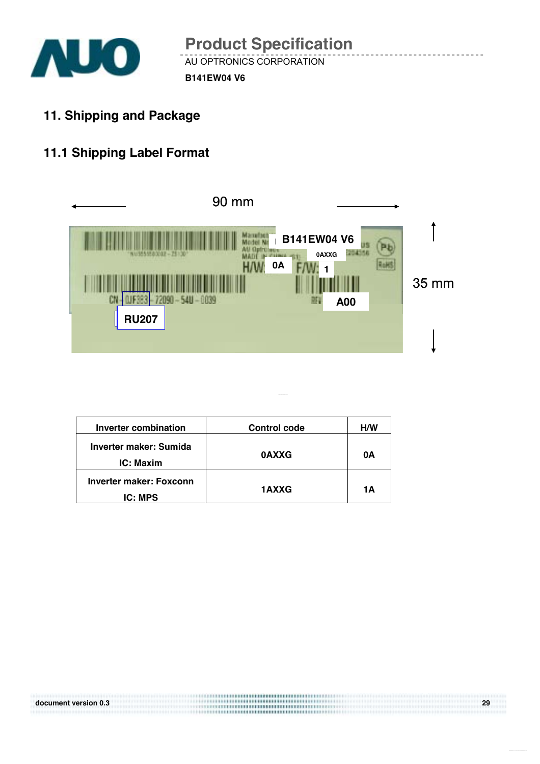

**11. Shipping and Package** 

## **11.1 Shipping Label Format**



| <b>Inverter combination</b>               | <b>Control code</b> | <b>H/W</b> |
|-------------------------------------------|---------------------|------------|
| Inverter maker: Sumida<br>IC: Maxim       | <b>OAXXG</b>        | 0Α         |
| Inverter maker: Foxconn<br><b>IC: MPS</b> | <b>1AXXG</b>        | 1Α         |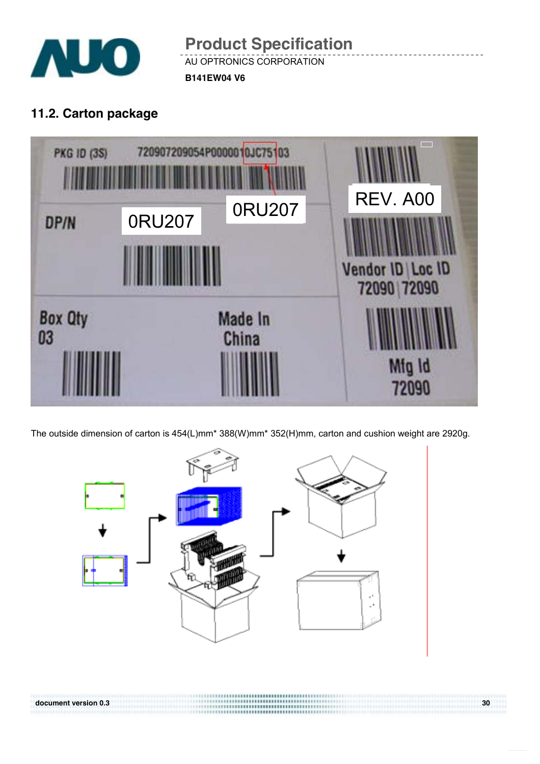

AU OPTRONICS CORPORATION **B141EW04 V6 Product Specification** 

## **11.2. Carton package**



The outside dimension of carton is 454(L)mm\* 388(W)mm\* 352(H)mm, carton and cushion weight are 2920g.

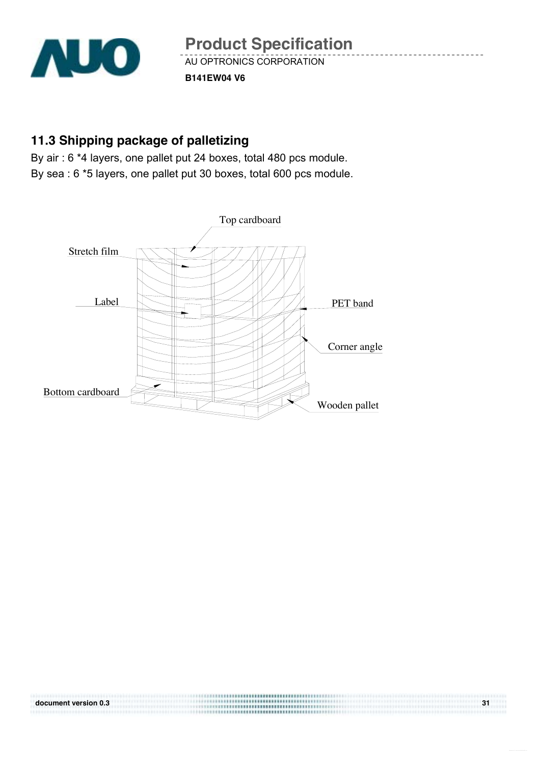

## **11.3 Shipping package of palletizing**

By air : 6 \*4 layers, one pallet put 24 boxes, total 480 pcs module. By sea : 6 \*5 layers, one pallet put 30 boxes, total 600 pcs module.

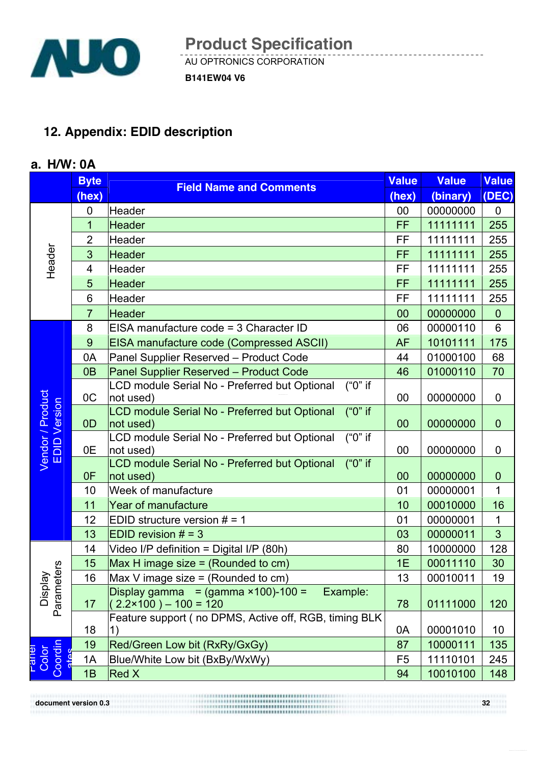

## **12. Appendix: EDID description**

### **a. H/W: 0A**

|                                             | <b>Byte</b>    | <b>Field Name and Comments</b>                                          | <b>Value</b>   | <b>Value</b> | <b>Value</b>   |
|---------------------------------------------|----------------|-------------------------------------------------------------------------|----------------|--------------|----------------|
|                                             | (hex)          |                                                                         | (hex)          | (binary)     | (DEC)          |
|                                             | 0              | Header                                                                  | 00             | 00000000     | $\overline{0}$ |
|                                             | $\overline{1}$ | <b>Header</b>                                                           | FF             | 11111111     | 255            |
|                                             | $\overline{2}$ | Header                                                                  | FF             | 11111111     | 255            |
|                                             | 3              | <b>Header</b>                                                           | FF             | 11111111     | 255            |
| Header                                      | $\overline{4}$ | Header                                                                  | FF             | 11111111     | 255            |
|                                             | 5              | <b>Header</b>                                                           | FF             | 11111111     | 255            |
|                                             | 6              | Header                                                                  | FF             | 11111111     | 255            |
|                                             | $\overline{7}$ | <b>Header</b>                                                           | 00             | 00000000     | $\overline{0}$ |
|                                             | 8              | EISA manufacture code = 3 Character ID                                  | 06             | 00000110     | 6              |
|                                             | 9              | <b>EISA manufacture code (Compressed ASCII)</b>                         | <b>AF</b>      | 10101111     | 175            |
|                                             | 0A             | Panel Supplier Reserved - Product Code                                  | 44             | 01000100     | 68             |
|                                             | 0 <sub>B</sub> | Panel Supplier Reserved - Product Code                                  | 46             | 01000110     | 70             |
|                                             |                | $("0"$ if<br>LCD module Serial No - Preferred but Optional              |                |              |                |
|                                             | OC             | not used)                                                               | 00             | 00000000     | $\mathbf 0$    |
| Vendor / Product<br>EDID Version<br>Version | OD             | $("0"$ if<br>LCD module Serial No - Preferred but Optional<br>not used) | 00             | 00000000     | $\theta$       |
|                                             |                | $("0"$ if<br>LCD module Serial No - Preferred but Optional              |                |              |                |
|                                             | 0E             | not used)<br>("0" if                                                    | 00             | 00000000     | $\mathbf 0$    |
|                                             | 0F             | LCD module Serial No - Preferred but Optional<br>not used)              | 00             | 00000000     | $\theta$       |
|                                             | 10             | Week of manufacture                                                     | 01             | 00000001     | 1              |
|                                             | 11             | <b>Year of manufacture</b>                                              | 10             | 00010000     | 16             |
|                                             | 12             | EDID structure version $# = 1$                                          | 01             | 00000001     | $\mathbf 1$    |
|                                             | 13             | EDID revision $# = 3$                                                   | 03             | 00000011     | $\overline{3}$ |
|                                             | 14             | Video I/P definition = Digital I/P (80h)                                | 80             | 10000000     | 128            |
|                                             | 15             | Max H image size $=$ (Rounded to cm)                                    | 1E             | 00011110     | 30             |
| Display<br>Parameters                       | 16             | Max V image size = (Rounded to cm)                                      | 13             | 00010011     | 19             |
|                                             |                | Display gamma = $(gamma \times 100)$ -100 =<br>Example:                 |                |              |                |
|                                             | 17             | $(2.2 \times 100) - 100 = 120$                                          | 78             | 01111000     | 120            |
|                                             |                | Feature support (no DPMS, Active off, RGB, timing BLK                   |                |              |                |
|                                             | 18             |                                                                         | 0A             | 00001010     | 10             |
| Coordin<br>Pates                            | 19             | Red/Green Low bit (RxRy/GxGy)                                           | 87             | 10000111     | 135            |
| Color<br>lelle-                             | 1A             | Blue/White Low bit (BxBy/WxWy)                                          | F <sub>5</sub> | 11110101     | 245            |
|                                             | 1B             | <b>Red X</b>                                                            | 94             | 10010100     | 148            |

**document version 0.3** 32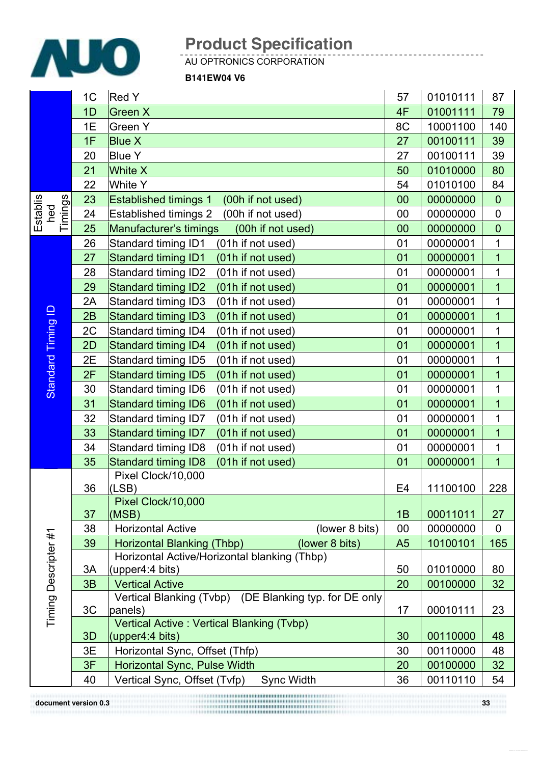

AU OPTRONICS CORPORATION

**B141EW04 V6**

|                            | 1C | <b>Red Y</b>                                                         | 57             | 01010111 | 87             |
|----------------------------|----|----------------------------------------------------------------------|----------------|----------|----------------|
|                            | 1D | Green X                                                              | 4F             | 01001111 | 79             |
|                            | 1E | Green Y                                                              | 8C             | 10001100 | 140            |
|                            | 1F | <b>Blue X</b>                                                        | 27             | 00100111 | 39             |
|                            | 20 | <b>Blue Y</b>                                                        | 27             | 00100111 | 39             |
|                            | 21 | <b>White X</b>                                                       | 50             | 01010000 | 80             |
|                            | 22 | <b>White Y</b>                                                       | 54             | 01010100 | 84             |
|                            | 23 | <b>Established timings 1</b><br>(00h if not used)                    | 00             | 00000000 | $\mathbf 0$    |
| Timings<br>Establis<br>hed | 24 | <b>Established timings 2</b><br>(00h if not used)                    | 00             | 00000000 | $\pmb{0}$      |
|                            | 25 | Manufacturer's timings<br>(00h if not used)                          | 00             | 00000000 | $\mathbf 0$    |
|                            | 26 | Standard timing ID1<br>(01h if not used)                             | 01             | 00000001 | $\mathbf 1$    |
|                            | 27 | Standard timing ID1<br>(01h if not used)                             | 01             | 00000001 | $\overline{1}$ |
|                            | 28 | Standard timing ID2<br>(01h if not used)                             | 01             | 00000001 | $\mathbf 1$    |
|                            | 29 | <b>Standard timing ID2</b><br>(01h if not used)                      | 01             | 00000001 | $\overline{1}$ |
|                            | 2A | Standard timing ID3<br>(01h if not used)                             | 01             | 00000001 | $\mathbf 1$    |
|                            | 2B | <b>Standard timing ID3</b><br>(01h if not used)                      | 01             | 00000001 | $\overline{1}$ |
| Standard Timing ID         | 2C | Standard timing ID4<br>(01h if not used)                             | 01             | 00000001 | $\mathbf 1$    |
|                            | 2D | Standard timing ID4<br>(01h if not used)                             | 01             | 00000001 | $\mathbf 1$    |
|                            | 2E | Standard timing ID5<br>(01h if not used)                             | 01             | 00000001 | $\overline{1}$ |
|                            | 2F | <b>Standard timing ID5</b><br>(01h if not used)                      | 01             | 00000001 | $\overline{1}$ |
|                            | 30 | Standard timing ID6<br>(01h if not used)                             | 01             | 00000001 | $\mathbf 1$    |
|                            | 31 | <b>Standard timing ID6</b><br>(01h if not used)                      | 01             | 00000001 | $\overline{1}$ |
|                            | 32 | Standard timing ID7<br>(01h if not used)                             | 01             | 00000001 | $\mathbf 1$    |
|                            | 33 | <b>Standard timing ID7</b><br>(01h if not used)                      | 01             | 00000001 | $\overline{1}$ |
|                            | 34 | Standard timing ID8<br>(01h if not used)                             | 01             | 00000001 | $\mathbf 1$    |
|                            | 35 | <b>Standard timing ID8</b><br>(01h if not used)                      | 01             | 00000001 | $\overline{1}$ |
|                            | 36 | Pixel Clock/10,000<br>(LSB)                                          | E <sub>4</sub> | 11100100 | 228            |
|                            | 37 | Pixel Clock/10,000<br>(MSB)                                          | 1B             | 00011011 | 27             |
|                            | 38 | (lower 8 bits)<br><b>Horizontal Active</b>                           | 00             | 00000000 | $\mathbf 0$    |
| Timing Descripter #1       | 39 | (lower 8 bits)<br>Horizontal Blanking (Thbp)                         | A <sub>5</sub> | 10100101 | 165            |
|                            |    | Horizontal Active/Horizontal blanking (Thbp)                         |                |          |                |
|                            | 3A | (upper4:4 bits)                                                      | 50             | 01010000 | 80             |
|                            | 3B | <b>Vertical Active</b>                                               | 20             | 00100000 | 32             |
|                            |    | Vertical Blanking (Tvbp) (DE Blanking typ. for DE only               |                |          |                |
|                            | 3C | panels)                                                              | 17             | 00010111 | 23             |
|                            | 3D | Vertical Active: Vertical Blanking (Tvbp)<br>$\vert$ (upper4:4 bits) | 30             | 00110000 | 48             |
|                            | 3E | Horizontal Sync, Offset (Thfp)                                       | 30             | 00110000 | 48             |
|                            | 3F | Horizontal Sync, Pulse Width                                         | 20             | 00100000 | 32             |
|                            | 40 | Vertical Sync, Offset (Tvfp)<br>Sync Width                           | 36             | 00110110 | 54             |
|                            |    |                                                                      |                |          |                |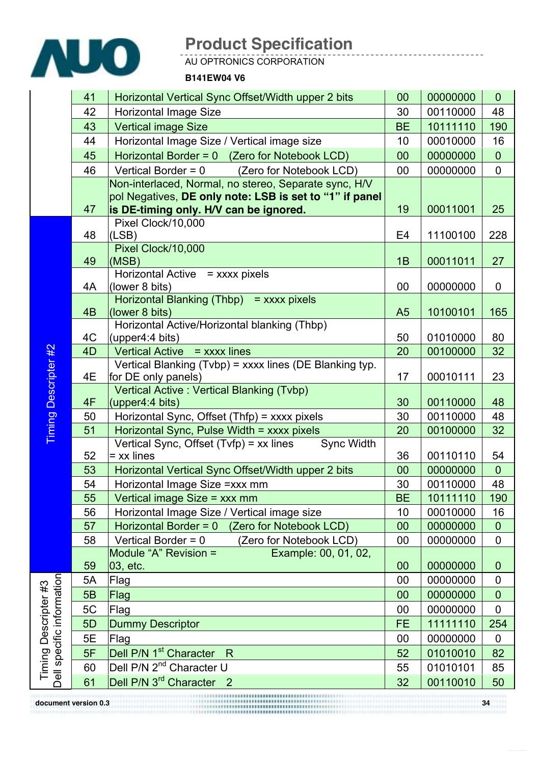

AU OPTRONICS CORPORATION

**B141EW04 V6**

|                                                   | 41             | Horizontal Vertical Sync Offset/Width upper 2 bits                                                | 00             | 00000000 | $\overline{0}$ |
|---------------------------------------------------|----------------|---------------------------------------------------------------------------------------------------|----------------|----------|----------------|
|                                                   | 42             | <b>Horizontal Image Size</b>                                                                      | 30             | 00110000 | 48             |
|                                                   | 43             | <b>Vertical image Size</b>                                                                        | <b>BE</b>      | 10111110 | 190            |
|                                                   | 44             | Horizontal Image Size / Vertical image size                                                       | 10             | 00010000 | 16             |
|                                                   | 45             | Horizontal Border = 0 (Zero for Notebook LCD)                                                     | 00             | 00000000 | $\overline{0}$ |
|                                                   | 46             | Vertical Border = $0$<br>(Zero for Notebook LCD)                                                  | 00             | 00000000 | $\mathbf 0$    |
|                                                   |                | Non-interlaced, Normal, no stereo, Separate sync, H/V                                             |                |          |                |
|                                                   |                | pol Negatives, DE only note: LSB is set to "1" if panel                                           |                |          |                |
|                                                   | 47             | is DE-timing only. H/V can be ignored.                                                            | 19             | 00011001 | 25             |
|                                                   | 48             | Pixel Clock/10,000<br>(LSB)                                                                       | E <sub>4</sub> | 11100100 |                |
|                                                   |                | Pixel Clock/10,000                                                                                |                |          | 228            |
|                                                   | 49             | (MSB)                                                                                             | 1B             | 00011011 | 27             |
|                                                   |                | Horizontal Active = xxxx pixels                                                                   |                |          |                |
|                                                   | 4A             | (lower 8 bits)                                                                                    | 00             | 00000000 | $\overline{0}$ |
|                                                   |                | Horizontal Blanking (Thbp) = xxxx pixels                                                          |                |          |                |
|                                                   | 4 <sub>B</sub> | (lower 8 bits)                                                                                    | A <sub>5</sub> | 10100101 | 165            |
|                                                   |                | Horizontal Active/Horizontal blanking (Thbp)                                                      |                |          |                |
|                                                   | 4C             | (upper4:4 bits)                                                                                   | 50             | 01010000 | 80             |
| Descripter #2                                     | 4D             | Vertical Active = xxxx lines<br>Vertical Blanking (Tvbp) = xxxx lines (DE Blanking typ.           | 20             | 00100000 | 32             |
|                                                   | 4E             | for DE only panels)                                                                               | 17             | 00010111 | 23             |
|                                                   |                | Vertical Active: Vertical Blanking (Tvbp)                                                         |                |          |                |
|                                                   | 4F             | (upper4:4 bits)                                                                                   | 30             | 00110000 | 48             |
|                                                   | 50             | Horizontal Sync, Offset (Thfp) = xxxx pixels                                                      | 30             | 00110000 | 48             |
| <b>Timing</b>                                     | 51             | Horizontal Sync, Pulse Width = xxxx pixels                                                        | 20             | 00100000 | 32             |
|                                                   |                | Vertical Sync, Offset $(Tvfp) = xx$ lines<br><b>Sync Width</b>                                    |                |          |                |
|                                                   | 52             | = xx lines                                                                                        | 36             | 00110110 | 54             |
|                                                   | 53             | Horizontal Vertical Sync Offset/Width upper 2 bits                                                | 00             | 00000000 | $\overline{0}$ |
|                                                   | 54             | Horizontal Image Size = xxx mm                                                                    | 30             | 00110000 | 48             |
|                                                   | 55             | Vertical image Size = xxx mm                                                                      | <b>BE</b>      | 10111110 | 190            |
|                                                   | 56             | Horizontal Image Size / Vertical image size                                                       | 10             | 00010000 | 16             |
|                                                   | 57             | (Zero for Notebook LCD)<br>Horizontal Border = 0                                                  | 00             | 00000000 | $\mathbf 0$    |
|                                                   | 58             | Vertical Border = $0$<br>(Zero for Notebook LCD)<br>Module "A" Revision =<br>Example: 00, 01, 02, | 00             | 00000000 | $\mathbf 0$    |
|                                                   | 59             | 03, etc.                                                                                          | 00             | 00000000 | $\mathbf 0$    |
|                                                   | 5A             | Flag                                                                                              | 00             | 00000000 | $\mathbf 0$    |
| Dell specific information<br>Timing Descripter #3 | 5B             | Flag                                                                                              | 00             | 00000000 | $\mathbf 0$    |
|                                                   | 5C             | Flag                                                                                              | 00             | 00000000 | $\overline{0}$ |
|                                                   | 5D             | <b>Dummy Descriptor</b>                                                                           | FE             | 11111110 | 254            |
|                                                   | 5E             | Flag                                                                                              | 00             | 00000000 | $\mathbf 0$    |
|                                                   | 5F             | Dell P/N 1 <sup>st</sup> Character<br>R                                                           | 52             | 01010010 | 82             |
|                                                   | 60             | Dell P/N 2 <sup>nd</sup> Character U                                                              | 55             | 01010101 | 85             |
|                                                   | 61             | Dell P/N 3 <sup>rd</sup> Character 2                                                              | 32             | 00110010 | 50             |
| document version 0.3                              |                |                                                                                                   |                |          |                |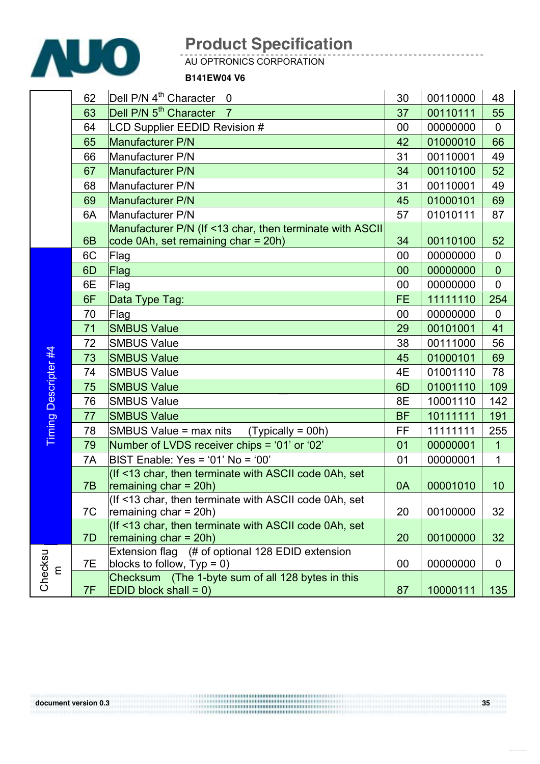

AU OPTRONICS CORPORATION

#### **B141EW04 V6**

|               | 62             | Dell P/N 4 <sup>th</sup> Character<br>$\overline{0}$                                             | 30        | 00110000 | 48             |
|---------------|----------------|--------------------------------------------------------------------------------------------------|-----------|----------|----------------|
|               | 63             | Dell P/N 5 <sup>th</sup> Character<br>$\overline{7}$                                             | 37        | 00110111 | 55             |
|               | 64             | LCD Supplier EEDID Revision #                                                                    | 00        | 00000000 | $\overline{0}$ |
|               | 65             | Manufacturer P/N                                                                                 | 42        | 01000010 | 66             |
|               | 66             | Manufacturer P/N                                                                                 | 31        | 00110001 | 49             |
|               | 67             | Manufacturer P/N                                                                                 | 34        | 00110100 | 52             |
|               | 68             | Manufacturer P/N                                                                                 | 31        | 00110001 | 49             |
|               | 69             | Manufacturer P/N                                                                                 | 45        | 01000101 | 69             |
|               | 6A             | Manufacturer P/N                                                                                 | 57        | 01010111 | 87             |
|               | 6 <sub>B</sub> | Manufacturer P/N (If <13 char, then terminate with ASCII)<br>code 0Ah, set remaining char = 20h) | 34        | 00110100 | 52             |
|               | 6C             | Flag                                                                                             | 00        | 00000000 | $\mathbf 0$    |
|               | 6D             | Flag                                                                                             | 00        | 00000000 | $\mathbf 0$    |
|               | 6E             | Flag                                                                                             | 00        | 00000000 | $\mathbf 0$    |
|               | 6F             | Data Type Tag:                                                                                   | <b>FE</b> | 11111110 | 254            |
|               | 70             | Flag                                                                                             | 00        | 00000000 | $\overline{0}$ |
|               | 71             | <b>SMBUS Value</b>                                                                               | 29        | 00101001 | 41             |
|               | 72             | <b>SMBUS Value</b>                                                                               | 38        | 00111000 | 56             |
|               | 73             | <b>SMBUS Value</b>                                                                               | 45        | 01000101 | 69             |
| Descripter #4 | 74             | <b>SMBUS Value</b>                                                                               | 4E        | 01001110 | 78             |
|               | 75             | <b>SMBUS Value</b>                                                                               | 6D        | 01001110 | 109            |
|               | 76             | <b>SMBUS Value</b>                                                                               | 8E        | 10001110 | 142            |
|               | 77             | <b>SMBUS Value</b>                                                                               | <b>BF</b> | 10111111 | 191            |
| Timing        | 78             | SMBUS Value = $max$ nits (Typically = 00h)                                                       | FF        | 11111111 | 255            |
|               | 79             | Number of LVDS receiver chips = '01' or '02'                                                     | 01        | 00000001 | $\mathbf{1}$   |
|               | 7A             | BIST Enable: Yes = '01' No = '00'                                                                | 01        | 00000001 | $\mathbf{1}$   |
|               | 7B             | (If <13 char, then terminate with ASCII code 0Ah, set<br>remaining $char = 20h$ )                | 0A        | 00001010 | 10             |
|               | 7C             | (If <13 char, then terminate with ASCII code 0Ah, set<br>remaining $char = 20h$ )                | 20        | 00100000 | 32             |
|               | 7D             | (If <13 char, then terminate with ASCII code 0Ah, set<br>remaining char = $20h$ )                | 20        | 00100000 | 32             |
|               | 7E             | Extension flag (# of optional 128 EDID extension<br>blocks to follow, $Type = 0$ )               | 00        | 00000000 | $\overline{0}$ |
| $\mathsf E$   | 7F             | Checksum (The 1-byte sum of all 128 bytes in this<br>$ EDID block shall = 0 $                    | 87        | 10000111 | 135            |

Checksu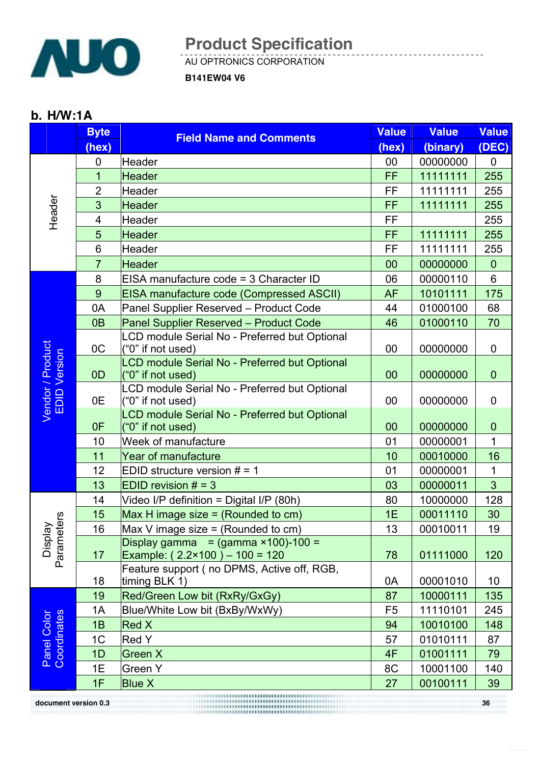

AU OPTRONICS CORPORATION

**B141EW04 V6**

#### **b. H/W:1A**

|                                  | <b>Byte</b>    | <b>Field Name and Comments</b>                                     | <b>Value</b>   | <b>Value</b> | <b>Value</b>   |
|----------------------------------|----------------|--------------------------------------------------------------------|----------------|--------------|----------------|
|                                  | (hex)          |                                                                    | (hex)          | (binary)     | (DEC)          |
|                                  | $\mathbf 0$    | Header                                                             | 00             | 00000000     | $\mathbf 0$    |
|                                  | 1              | <b>Header</b>                                                      | FF             | 11111111     | 255            |
|                                  | $\overline{2}$ | Header                                                             | FF             | 11111111     | 255            |
| Header                           | 3              | <b>Header</b>                                                      | FF             | 11111111     | 255            |
|                                  | 4              | <b>Header</b>                                                      | FF             |              | 255            |
|                                  | 5              | <b>Header</b>                                                      | <b>FF</b>      | 11111111     | 255            |
|                                  | 6              | Header                                                             | FF             | 11111111     | 255            |
|                                  | $\overline{7}$ | <b>Header</b>                                                      | 00             | 00000000     | $\overline{0}$ |
|                                  | 8              | EISA manufacture code = 3 Character ID                             | 06             | 00000110     | 6              |
|                                  | 9              | <b>EISA manufacture code (Compressed ASCII)</b>                    | <b>AF</b>      | 10101111     | 175            |
|                                  | 0A             | Panel Supplier Reserved - Product Code                             | 44             | 01000100     | 68             |
|                                  | 0 <sub>B</sub> | Panel Supplier Reserved - Product Code                             | 46             | 01000110     | 70             |
|                                  |                | LCD module Serial No - Preferred but Optional                      |                |              |                |
|                                  | 0 <sup>C</sup> | ("0" if not used)                                                  | 00             | 00000000     | 0              |
|                                  | 0D             | LCD module Serial No - Preferred but Optional                      | 00             | 00000000     | $\mathbf 0$    |
| Vendor / Product<br>EDID Version |                | ("0" if not used)<br>LCD module Serial No - Preferred but Optional |                |              |                |
|                                  | 0E             | ("0" if not used)                                                  | 00             | 00000000     | $\mathbf 0$    |
|                                  |                | LCD module Serial No - Preferred but Optional                      |                |              |                |
|                                  | 0F             | $("0"$ if not used)                                                | 00             | 00000000     | $\theta$       |
|                                  | 10             | Week of manufacture                                                | 01             | 00000001     | 1              |
|                                  | 11             | <b>Year of manufacture</b>                                         | 10             | 00010000     | 16             |
|                                  | 12             | EDID structure version $# = 1$                                     | 01             | 00000001     | 1              |
|                                  | 13             | EDID revision $# = 3$                                              | 03             | 00000011     | $\overline{3}$ |
|                                  | 14             | Video I/P definition = Digital I/P (80h)                           | 80             | 10000000     | 128            |
|                                  | 15             | Max H image size $=$ (Rounded to cm)                               | 1E             | 00011110     | 30             |
| Display<br>Parameters            | 16             | Max V image size $=$ (Rounded to cm)                               | 13             | 00010011     | 19             |
|                                  |                | $\overline{Display}$ gamma = (gamma ×100)-100 =                    |                |              |                |
|                                  | 17             | Example: $(2.2 \times 100) - 100 = 120$                            | 78             | 01111000     | 120            |
|                                  | 18             | Feature support (no DPMS, Active off, RGB,<br>timing BLK 1)        | 0A             | 00001010     | 10             |
|                                  | 19             | Red/Green Low bit (RxRy/GxGy)                                      | 87             | 10000111     | 135            |
|                                  | 1A             | Blue/White Low bit (BxBy/WxWy)                                     | F <sub>5</sub> | 11110101     | 245            |
| Panel Color<br>Coordinates       | 1B             | <b>Red X</b>                                                       | 94             | 10010100     | 148            |
|                                  | 1 <sup>C</sup> | <b>Red Y</b>                                                       | 57             | 01010111     | 87             |
|                                  | 1D             | Green X                                                            | 4F             | 01001111     | 79             |
|                                  | 1E             | <b>Green Y</b>                                                     | 8C             | 10001100     | 140            |
|                                  | 1F             | <b>Blue X</b>                                                      | 27             | 00100111     | 39             |
|                                  |                |                                                                    |                |              |                |
| document version 0.3             |                |                                                                    |                |              | 36             |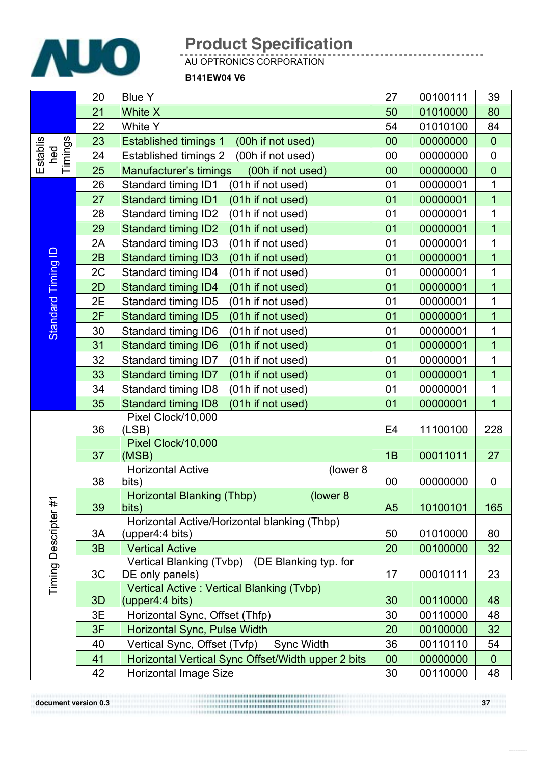

AU OPTRONICS CORPORATION

**B141EW04 V6**

|                            | 20 | <b>Blue Y</b>                                                | 27             | 00100111 | 39             |
|----------------------------|----|--------------------------------------------------------------|----------------|----------|----------------|
|                            | 21 | <b>White X</b>                                               | 50             | 01010000 | 80             |
|                            | 22 | White Y                                                      | 54             | 01010100 | 84             |
|                            | 23 | <b>Established timings 1</b><br>(00h if not used)            | 00             | 00000000 | $\mathbf 0$    |
| Establis<br>hed<br>Timings | 24 | <b>Established timings 2</b><br>(00h if not used)            | 00             | 00000000 | $\pmb{0}$      |
|                            | 25 | Manufacturer's timings<br>(00h if not used)                  | 00             | 00000000 | $\mathbf 0$    |
|                            | 26 | Standard timing ID1<br>(01h if not used)                     | 01             | 00000001 | 1              |
|                            | 27 | Standard timing ID1<br>(01h if not used)                     | 01             | 00000001 | $\overline{1}$ |
|                            | 28 | Standard timing ID2<br>(01h if not used)                     | 01             | 00000001 | 1              |
|                            | 29 | <b>Standard timing ID2</b><br>(01h if not used)              | 01             | 00000001 | $\overline{1}$ |
|                            | 2A | Standard timing ID3<br>(01h if not used)                     | 01             | 00000001 | 1              |
|                            | 2B | <b>Standard timing ID3</b><br>(01h if not used)              | 01             | 00000001 | $\overline{1}$ |
|                            | 2C | Standard timing ID4<br>(01h if not used)                     | 01             | 00000001 | 1              |
| Timing ID                  | 2D | Standard timing ID4<br>(01h if not used)                     | 01             | 00000001 | $\overline{1}$ |
| <b>Standard</b>            | 2E | Standard timing ID5<br>(01h if not used)                     | 01             | 00000001 | 1              |
|                            | 2F | <b>Standard timing ID5</b><br>(01h if not used)              | 01             | 00000001 | $\overline{1}$ |
|                            | 30 | Standard timing ID6<br>(01h if not used)                     | 01             | 00000001 | 1              |
|                            | 31 | <b>Standard timing ID6</b><br>(01h if not used)              | 01             | 00000001 | $\overline{1}$ |
|                            | 32 | Standard timing ID7<br>(01h if not used)                     | 01             | 00000001 | 1              |
|                            | 33 | Standard timing ID7<br>(01h if not used)                     | 01             | 00000001 | $\overline{1}$ |
|                            | 34 | Standard timing ID8<br>(01h if not used)                     | 01             | 00000001 | 1              |
|                            | 35 | <b>Standard timing ID8</b><br>(01h if not used)              | 01             | 00000001 | $\overline{1}$ |
|                            |    | Pixel Clock/10,000                                           |                |          |                |
|                            | 36 | (LSB)                                                        | E <sub>4</sub> | 11100100 | 228            |
|                            |    | Pixel Clock/10,000                                           |                |          |                |
|                            | 37 | (MSB)<br><b>Horizontal Active</b>                            | 1B             | 00011011 | 27             |
|                            | 38 | (lower 8<br>bits)                                            | 00             | 00000000 | $\pmb{0}$      |
|                            |    | (lower 8<br>Horizontal Blanking (Thbp)                       |                |          |                |
| ᅮ                          | 39 | bits)                                                        | A <sub>5</sub> | 10100101 | 165            |
|                            |    | Horizontal Active/Horizontal blanking (Thbp)                 |                |          |                |
|                            | 3A | (upper4:4 bits)                                              | 50             | 01010000 | 80             |
|                            | 3B | <b>Vertical Active</b>                                       | 20             | 00100000 | 32             |
|                            |    | Vertical Blanking (Tvbp) (DE Blanking typ. for               |                |          |                |
| Timing Descripter #        | 3C | DE only panels)                                              | 17             | 00010111 | 23             |
|                            | 3D | Vertical Active: Vertical Blanking (Tvbp)<br>(upper4:4 bits) | 30             | 00110000 | 48             |
|                            | 3E |                                                              |                | 00110000 | 48             |
|                            |    | Horizontal Sync, Offset (Thfp)                               | 30             |          |                |
|                            | 3F | Horizontal Sync, Pulse Width                                 | 20             | 00100000 | 32             |
|                            | 40 | Vertical Sync, Offset (Tvfp)<br><b>Sync Width</b>            | 36             | 00110110 | 54             |
|                            | 41 | Horizontal Vertical Sync Offset/Width upper 2 bits           | 00             | 00000000 | $\overline{0}$ |
|                            | 42 | <b>Horizontal Image Size</b>                                 | 30             | 00110000 | 48             |

**document version 0.3** 37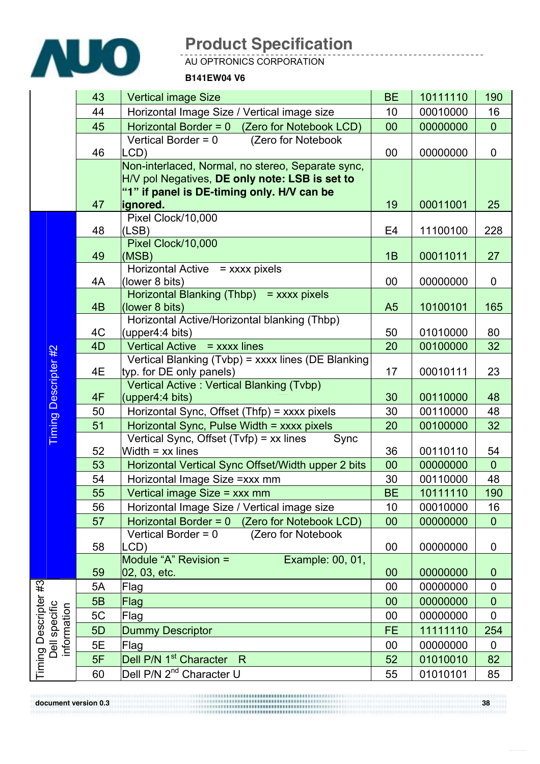

AU OPTRONICS CORPORATION

#### **B141EW04 V6**

|                                                      | 43 | <b>Vertical image Size</b>                                                                                                                        | <b>BE</b>      | 10111110 | 190            |
|------------------------------------------------------|----|---------------------------------------------------------------------------------------------------------------------------------------------------|----------------|----------|----------------|
|                                                      | 44 | Horizontal Image Size / Vertical image size                                                                                                       | 10             | 00010000 | 16             |
|                                                      | 45 | Horizontal Border = $0$ (Zero for Notebook LCD)                                                                                                   | 00             | 00000000 | $\overline{0}$ |
|                                                      | 46 | Vertical Border = 0<br>(Zero for Notebook<br>LCD)                                                                                                 | 00             | 00000000 | 0              |
|                                                      |    | Non-interlaced, Normal, no stereo, Separate sync,<br>H/V pol Negatives, DE only note: LSB is set to<br>"1" if panel is DE-timing only. H/V can be |                |          |                |
|                                                      | 47 | ignored.                                                                                                                                          | 19             | 00011001 | 25             |
|                                                      | 48 | Pixel Clock/10,000<br>(LSB)                                                                                                                       | E4             | 11100100 | 228            |
|                                                      | 49 | Pixel Clock/10,000<br>(MSB)                                                                                                                       | 1B             | 00011011 | 27             |
|                                                      | 4A | Horizontal Active = xxxx pixels<br>(lower 8 bits)                                                                                                 | 00             | 00000000 | $\mathbf 0$    |
|                                                      | 4B | Horizontal Blanking (Thbp) = xxxx pixels<br>(lower 8 bits)                                                                                        | A <sub>5</sub> | 10100101 | 165            |
|                                                      | 4C | Horizontal Active/Horizontal blanking (Thbp)<br>(upper4:4 bits)                                                                                   | 50             | 01010000 | 80             |
|                                                      | 4D | Vertical Active = xxxx lines                                                                                                                      | 20             | 00100000 | 32             |
| <b>Timing Descripter #2</b>                          | 4E | Vertical Blanking (Tvbp) = xxxx lines (DE Blanking<br>typ. for DE only panels)                                                                    | 17             | 00010111 | 23             |
|                                                      | 4F | Vertical Active: Vertical Blanking (Tvbp)<br>(upper4:4 bits)                                                                                      | 30             | 00110000 | 48             |
|                                                      | 50 | Horizontal Sync, Offset (Thfp) = xxxx pixels                                                                                                      | 30             | 00110000 | 48             |
|                                                      | 51 | Horizontal Sync, Pulse Width = xxxx pixels                                                                                                        | 20             | 00100000 | 32             |
|                                                      | 52 | Vertical Sync, Offset (Tvfp) = xx lines<br>Sync<br>Width $=$ xx lines                                                                             | 36             | 00110110 | 54             |
|                                                      | 53 | Horizontal Vertical Sync Offset/Width upper 2 bits                                                                                                | 00             | 00000000 | $\overline{0}$ |
|                                                      | 54 | Horizontal Image Size = xxx mm                                                                                                                    | 30             | 00110000 | 48             |
|                                                      | 55 | Vertical image Size = xxx mm                                                                                                                      | <b>BE</b>      | 10111110 | 190            |
|                                                      | 56 | Horizontal Image Size / Vertical image size                                                                                                       | 10             | 00010000 | 16             |
|                                                      | 57 | Horizontal Border = 0 (Zero for Notebook LCD)                                                                                                     | 00             | 00000000 | $\mathbf{0}$   |
|                                                      | 58 | (Zero for Notebook<br>Vertical Border = 0<br>LCD)                                                                                                 | 00             | 00000000 | 0              |
|                                                      | 59 | Module "A" Revision =<br>Example: 00, 01,<br>02, 03, etc.                                                                                         | 00             | 00000000 | $\mathbf{0}$   |
| Timing Descripter #3<br>Dell specific<br>information | 5A | Flag                                                                                                                                              | 00             | 00000000 | 0              |
|                                                      | 5B | Flag                                                                                                                                              | 00             | 00000000 | $\overline{0}$ |
|                                                      | 5C | Flag                                                                                                                                              | 00             | 00000000 | $\mathbf 0$    |
|                                                      | 5D | Dummy Descriptor                                                                                                                                  | <b>FE</b>      | 11111110 | 254            |
|                                                      | 5E | Flag                                                                                                                                              | 00             | 00000000 | 0              |
|                                                      | 5F | Dell P/N 1 <sup>st</sup> Character R                                                                                                              | 52             | 01010010 | 82             |
|                                                      | 60 | Dell P/N 2 <sup>nd</sup> Character U                                                                                                              | 55             | 01010101 | 85             |

**document version 0.3** 38